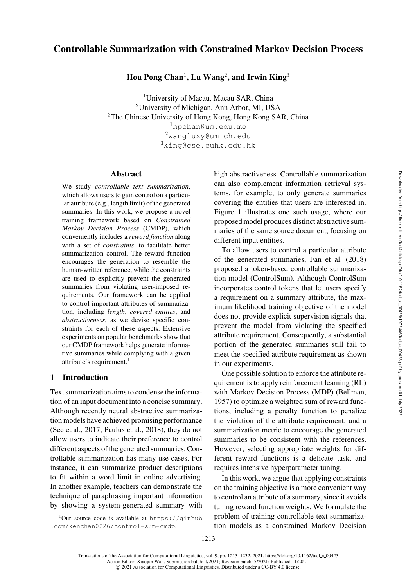# Controllable Summarization with Constrained Markov Decision Process

Hou Pong Chan<sup>1</sup>, Lu Wang<sup>2</sup>, and Irwin King<sup>3</sup>

<sup>1</sup>University of Macau, Macau SAR, China <sup>2</sup>University of Michigan, Ann Arbor, MI, USA <sup>3</sup>The Chinese University of Hong Kong, Hong Kong SAR, China <sup>1</sup>[hpchan@um.edu.mo](mailto:hpchan@um.edu.mo)  $^{2}$ [wangluxy@umich.edu](mailto:wangluxy@umich.edu)  $3$ [king@cse.cuhk.edu.hk](mailto:king@cse.cuhk.edu.hk)

#### Abstract

We study *controllable text summarization*, which allows users to gain control on a particular attribute (e.g., length limit) of the generated summaries. In this work, we propose a novel training framework based on *Constrained Markov Decision Process* (CMDP), which conveniently includes a *reward function* along with a set of *constraints*, to facilitate better summarization control. The reward function encourages the generation to resemble the human-written reference, while the constraints are used to explicitly prevent the generated summaries from violating user-imposed requirements. Our framework can be applied to control important attributes of summarization, including *length*, *covered entities*, and *abstractiveness*, as we devise specific constraints for each of these aspects. Extensive experiments on popular benchmarks show that our CMDP framework helps generate informative summaries while complying with a given attribute's requirement. $<sup>1</sup>$ </sup>

## 1 Introduction

Text summarization aims to condense the information of an input document into a concise summary. Although recently neural abstractive summarization models have achieved promising performance [\(See et al.](#page-17-0), [2017;](#page-17-0) [Paulus et al.](#page-16-0), [2018](#page-16-0)), they do not allow users to indicate their preference to control different aspects of the generated summaries. Controllable summarization has many use cases. For instance, it can summarize product descriptions to fit within a word limit in online advertising. In another example, teachers can demonstrate the technique of paraphrasing important information by showing a system-generated summary with

<span id="page-0-0"></span> $1$ Our source code is available at [https://github](https://github.com/kenchan0226/control-sum-cmdp) [.com/kenchan0226/control-sum-cmdp](https://github.com/kenchan0226/control-sum-cmdp).

high abstractiveness. Controllable summarization can also complement information retrieval systems, for example, to only generate summaries covering the entities that users are interested in. [Figure 1](#page-1-0) illustrates one such usage, where our proposed model produces distinct abstractive summaries of the same source document, focusing on different input entities.

To allow users to control a particular attribute of the generated summaries, [Fan et al.](#page-14-0) [\(2018\)](#page-14-0) proposed a token-based controllable summarization model (ControlSum). Although ControlSum incorporates control tokens that let users specify a requirement on a summary attribute, the maximum likelihood training objective of the model does not provide explicit supervision signals that prevent the model from violating the specified attribute requirement. Consequently, a substantial portion of the generated summaries still fail to meet the specified attribute requirement as shown in our experiments.

One possible solution to enforce the attribute requirement is to apply reinforcement learning (RL) with Markov Decision Process (MDP) [\(Bellman,](#page-13-0) [1957](#page-13-0)) to optimize a weighted sum of reward functions, including a penalty function to penalize the violation of the attribute requirement, and a summarization metric to encourage the generated summaries to be consistent with the references. However, selecting appropriate weights for different reward functions is a delicate task, and requires intensive hyperparameter tuning.

In this work, we argue that applying constraints on the training objective is a more convenient way to control an attribute of a summary, since it avoids tuning reward function weights. We formulate the problem of training controllable text summarization models as a constrained Markov Decision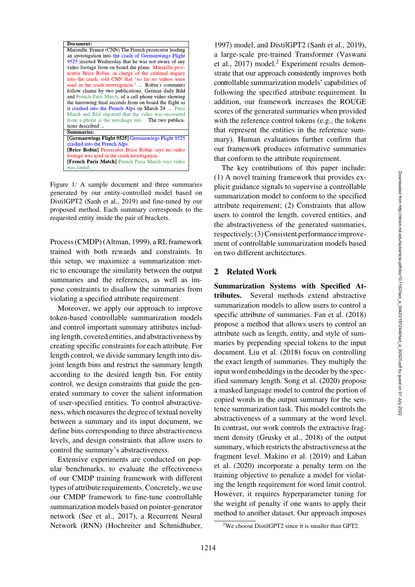

Figure 1: A sample document and three summaries generated by our entity-controlled model based on DistilGPT2 [\(Sanh et al., 2019](#page-17-1)) and fine-tuned by our proposed method. Each summary corresponds to the requested entity inside the pair of brackets.

<span id="page-1-0"></span>Process (CMDP) [\(Altman](#page-13-1), [1999](#page-13-1)), a RL framework trained with both rewards and constraints. In this setup, we maximize a summarization metric to encourage the similarity between the output summaries and the references, as well as impose constraints to disallow the summaries from violating a specified attribute requirement.

Moreover, we apply our approach to improve token-based controllable summarization models and control important summary attributes including length, covered entities, and abstractiveness by creating specific constraints for each attribute. For length control, we divide summary length into disjoint length bins and restrict the summary length according to the desired length bin. For entity control, we design constraints that guide the generated summary to cover the salient information of user-specified entities. To control abstractiveness, which measures the degree of textual novelty between a summary and its input document, we define bins corresponding to three abstractiveness levels, and design constraints that allow users to control the summary's abstractiveness.

Extensive experiments are conducted on popular benchmarks, to evaluate the effectiveness of our CMDP training framework with different types of attribute requirements. Concretely, we use our CMDP framework to fine-tune controllable summarization models based on pointer-generator network [\(See et al.](#page-17-0), [2017\)](#page-17-0), a Recurrent Neural Network (RNN) [\(Hochreiter and Schmidhuber,](#page-15-0)

[1997](#page-15-0)) model, and DistilGPT2 [\(Sanh et al.](#page-17-1), [2019](#page-17-1)), a lar[ge-scale pre-trained Transformer \(](#page-17-2)Vaswani et al.,  $2017$ ) model.<sup>2</sup> Experiment results demonstrate that our approach consistently improves both controllable summarization models' capabilities of following the specified attribute requirement. In addition, our framework increases the ROUGE scores of the generated summaries when provided with the reference control tokens (e.g., the tokens that represent the entities in the reference summary). Human evaluations further confirm that our framework produces informative summaries that conform to the attribute requirement.

The key contributions of this paper include: (1) A novel training framework that provides explicit guidance signals to supervise a controllable summarization model to conform to the specified attribute requirement; (2) Constraints that allow users to control the length, covered entities, and the abstractiveness of the generated summaries, respectively; (3) Consistent performance improvement of controllable summarization models based on two different architectures.

### 2 Related Work

Summarization Systems with Specified Attributes. Several methods extend abstractive summarization models to allow users to control a specific attribute of summaries. [Fan et al.](#page-14-0) [\(2018\)](#page-14-0) propose a method that allows users to control an attribute such as length, entity, and style of summaries by prepending special tokens to the input document. [Liu et al.](#page-16-1) [\(2018\)](#page-16-1) focus on controlling the exact length of summaries. They multiply the input word embeddings in the decoder by the specified summary length. [Song et al.](#page-17-3) [\(2020\)](#page-17-3) propose a masked language model to control the portion of copied words in the output summary for the sentence summarization task. This model controls the abstractiveness of a summary at the word level. In contrast, our work controls the extractive fragment density [\(Grusky et al.](#page-14-1), [2018\)](#page-14-1) of the output summary, which restricts the abstractiveness at the frag[ment level.](#page-15-1) [Makino et al.](#page-16-2)[\(2019](#page-16-2)[\) and](#page-15-1) Laban et al. [\(2020](#page-15-1)) incorporate a penalty term on the training objective to penalize a model for violating the length requirement for word limit control. However, it requires hyperparameter tuning for the weight of penalty if one wants to apply their method to another dataset. Our approach imposes

<span id="page-1-1"></span><sup>2</sup>We choose DistilGPT2 since it is smaller than GPT2.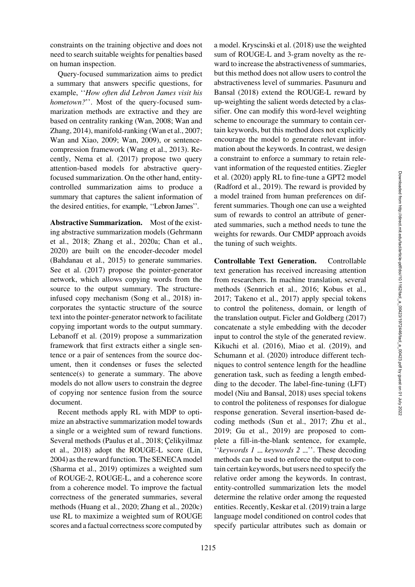constraints on the training objective and does not need to search suitable weights for penalties based on human inspection.

Query-focused summarization aims to predict a summary that answers specific questions, for example, ''*How often did Lebron James visit his hometown?*''. Most of the query-focused summarization methods are extractive and they are based on centrality ranking [\(Wan](#page-18-0), [2008](#page-18-0); Wan and Zhang, [2014\)](#page-18-1), manifold-ranking [\(Wan et al., 2007](#page-18-2); [Wan and Xiao, 2009;](#page-18-3) [Wan, 2009\)](#page-18-4), or sentencecompression framework [\(Wang et al., 2013\)](#page-18-5). Recently, [Nema et al.](#page-16-3) [\(2017\)](#page-16-3) propose two query attention-based models for abstractive queryfocused summarization. On the other hand, entitycontrolled summarization aims to produce a summary that captures the salient information of the desired entities, for example, ''Lebron James''.

Abstractive Summarization. Most of the existing a[bstractive](#page-14-2) [summarization](#page-14-2) [models](#page-14-2) [\(](#page-14-2)Gehrmann et al., [2018](#page-14-2); [Zhang et al., 2020a;](#page-18-6) [Chan et al.,](#page-14-3) [2020](#page-14-3)) are built on the encoder-decoder model [\(Bahdanau et al.](#page-13-2), [2015\)](#page-13-2) to generate summaries. [See et al.](#page-17-0) [\(2017](#page-17-0)) propose the pointer-generator network, which allows copying words from the source to the output summary. The structureinfused copy mechanism [\(Song et al.](#page-17-4), [2018](#page-17-4)) incorporates the syntactic structure of the source text into the pointer-generator network to facilitate copying important words to the output summary. [Lebanoff et al.](#page-15-2) [\(2019](#page-15-2)) propose a summarization framework that first extracts either a single sentence or a pair of sentences from the source document, then it condenses or fuses the selected sentence(s) to generate a summary. The above models do not allow users to constrain the degree of copying nor sentence fusion from the source document.

Recent methods apply RL with MDP to optimize an abstractive summarization model towards a single or a weighted sum of reward functions. Seve[ral methods](#page-14-4) [\(Paulus et al.](#page-16-0)[,](#page-14-4) [2018](#page-16-0)[;](#page-14-4) Çelikyilmaz et al., [2018\)](#page-14-4) adopt the ROUGE-L score [\(Lin,](#page-15-3) [2004](#page-15-3)) as the reward function. The SENECA model [\(Sharma et al., 2019](#page-17-5)) optimizes a weighted sum of ROUGE-2, ROUGE-L, and a coherence score from a coherence model. To improve the factual correctness of the generated summaries, several methods [\(Huang et al., 2020](#page-15-4); [Zhang et al.](#page-18-7), [2020c\)](#page-18-7) use RL to maximize a weighted sum of ROUGE scores and a factual correctness score computed by a model. [Kryscinski et al.](#page-15-5) [\(2018](#page-15-5)) use the weighted sum of ROUGE-L and 3-gram novelty as the reward to increase the abstractiveness of summaries, but this method does not allow users to control the abstra[ctiveness level of summaries.](#page-16-4) Pasunuru and Bansal [\(2018](#page-16-4)) extend the ROUGE-L reward by up-weighting the salient words detected by a classifier. One can modify this word-level weighting scheme to encourage the summary to contain certain keywords, but this method does not explicitly encourage the model to generate relevant information about the keywords. In contrast, we design a constraint to enforce a summary to retain relevant information of the requested entities. Ziegler et al. [\(2020](#page-18-8)) apply RL to fine-tune a GPT2 model [\(Radford et al., 2019](#page-16-5)). The reward is provided by a model trained from human preferences on different summaries. Though one can use a weighted sum of rewards to control an attribute of generated summaries, such a method needs to tune the weights for rewards. Our CMDP approach avoids the tuning of such weights.

Controllable Text Generation. Controllable text generation has received increasing attention from researchers. In machine translation, several methods [\(Sennrich et al., 2016;](#page-17-6) [Kobus et al.,](#page-15-6) [2017](#page-15-6); [Takeno et al., 2017\)](#page-17-7) apply special tokens to control the politeness, domain, or length of the translation output. [Ficler and Goldberg](#page-14-5) [\(2017\)](#page-14-5) concatenate a style embedding with the decoder input to control the style of the generated review. [Kikuchi et al.](#page-15-7) [\(2016\)](#page-15-7), [Miao et al.](#page-16-6) [\(2019\)](#page-16-6), and [Schumann et al.](#page-17-8) [\(2020](#page-17-8)) introduce different techniques to control sentence length for the headline generation task, such as feeding a length embedding to the decoder. The label-fine-tuning (LFT) model [\(Niu and Bansal, 2018\)](#page-16-7) uses special tokens to control the politeness of responses for dialogue response generation. Several insertion-based decoding methods [\(Sun et al.](#page-17-9), [2017;](#page-17-9) [Zhu et al.,](#page-18-9) [2019](#page-18-9); [Gu et al.](#page-15-8), [2019](#page-15-8)) are proposed to complete a fill-in-the-blank sentence, for example, "*keywords 1* \_ *keywords 2* \_ ". These decoding methods can be used to enforce the output to contain certain keywords, but users need to specify the relative order among the keywords. In contrast, entity-controlled summarization lets the model determine the relative order among the requested entities. Recently, [Keskar et al.](#page-15-9) [\(2019\)](#page-15-9) train a large language model conditioned on control codes that specify particular attributes such as domain or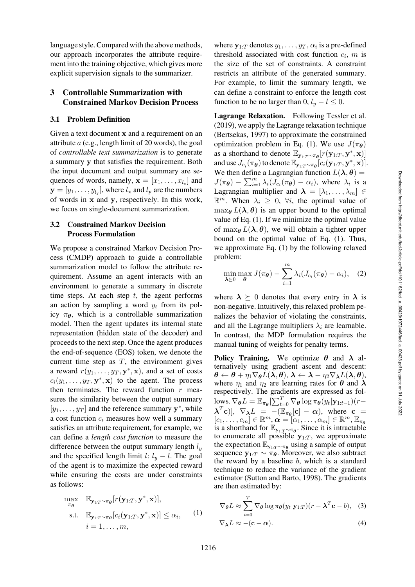language style. Compared with the above methods, our approach incorporates the attribute requirement into the training objective, which gives more explicit supervision signals to the summarizer.

## 3 Controllable Summarization with Constrained Markov Decision Process

#### 3.1 Problem Definition

Given a text document **x** and a requirement on an attribute a (e.g., length limit of 20 words), the goal of *controllable text summarization* is to generate a summary **y** that satisfies the requirement. Both the input document and output summary are sequences of words, namely,  $\mathbf{x} = [x_1, \dots, x_k]$  and  $\mathbf{y} = [y_1, \dots, y_{l_v}]$ , where  $l_x$  and  $l_y$  are the numbers of words in **x** and **y**, respectively. In this work, we focus on single-document summarization.

## <span id="page-3-2"></span>3.2 Constrained Markov Decision Process Formulation

We propose a constrained Markov Decision Process (CMDP) approach to guide a controllable summarization model to follow the attribute requirement. Assume an agent interacts with an environment to generate a summary in discrete time steps. At each step  $t$ , the agent performs an action by sampling a word  $y_t$  from its policy  $\pi_{\theta}$ , which is a controllable summarization model. Then the agent updates its internal state representation (hidden state of the decoder) and proceeds to the next step. Once the agent produces the end-of-sequence (EOS) token, we denote the current time step as  $T$ , the environment gives a reward  $r(y_1, \ldots, y_T, \mathbf{y}^*, \mathbf{x})$ , and a set of costs  $c_i(y_1,\ldots,y_T, \mathbf{y}^*, \mathbf{x})$  to the agent. The process then terminates. The reward function  $r$  measures the similarity between the output summary  $[y_1, \ldots, y_T]$  and the reference summary **y**<sup>\*</sup>, while a cost function  $c_i$  measures how well a summary satisfies an attribute requirement, for example, we can define a *length cost function* to measure the difference between the output summary length  $l_y$ and the specified length limit l:  $l_y - l$ . The goal of the agent is to maximize the expected reward while ensuring the costs are under constraints as follows:

$$
\max_{\pi_{\theta}} \mathbb{E}_{\mathbf{y}_{1:T} \sim \pi_{\theta}}[r(\mathbf{y}_{1:T}, \mathbf{y}^*, \mathbf{x})],
$$
\n
$$
\text{s.t.} \quad \mathbb{E}_{\mathbf{y}_{1:T} \sim \pi_{\theta}}[c_i(\mathbf{y}_{1:T}, \mathbf{y}^*, \mathbf{x})] \leq \alpha_i,
$$
\n
$$
i = 1, \dots, m,
$$
\n
$$
(1)
$$

where  $y_{1:T}$  denotes  $y_1, \ldots, y_T, \alpha_i$  is a pre-defined threshold associated with cost function  $c_i$ , m is the size of the set of constraints. A constraint restricts an attribute of the generated summary. For example, to limit the summary length, we can define a constraint to enforce the length cost function to be no larger than 0,  $l_y - l \leq 0$ .

Lagrange Relaxation. Following [Tessler et al.](#page-17-10) [\(2019\)](#page-17-10), we apply the Lagrange relaxation technique [\(Bertsekas, 1997\)](#page-13-3) to approximate the constrained optimization problem in Eq. (1). We use  $J(\pi_{\theta})$ as a shorthand to denote  $\mathbb{E}_{\mathbf{y}_{1:T} \sim \pi_{\theta}}[r(\mathbf{y}_{1:T}, \mathbf{y}^*, \mathbf{x})]$ and use  $J_{c_i}(\pi_{\theta})$  to denote  $\mathbb{E}_{\mathbf{v}_1:\tau \sim \pi_{\theta}}[c_i(\mathbf{y}_{1:T}, \mathbf{y}^*, \mathbf{x})].$ We then define a Lagrangian function  $L(\lambda, \theta) =$  $J(\pi_{\theta}) - \sum_{i=1}^{m} \lambda_i (J_{c_i}(\pi_{\theta}) - \alpha_i)$ , where  $\lambda_i$  is a Lagrangian multiplier and  $\lambda = [\lambda_1, \ldots, \lambda_m] \in$  $\mathbb{R}^m$ . When  $\lambda_i \geq 0$ ,  $\forall i$ , the optimal value of  $\max_{\theta} L(\lambda, \theta)$  is an upper bound to the optimal value of Eq. (1). If we minimize the optimal value of max $\theta$   $L(\lambda, \theta)$ , we will obtain a tighter upper bound on the optimal value of Eq. (1). Thus, we approximate Eq. (1) by the following relaxed problem:

$$
\min_{\boldsymbol{\lambda} \succeq 0} \max_{\boldsymbol{\theta}} J(\pi_{\boldsymbol{\theta}}) - \sum_{i=1}^{m} \lambda_i (J_{c_i}(\pi_{\boldsymbol{\theta}}) - \alpha_i), \quad (2)
$$

where  $\lambda \geq 0$  denotes that every entry in  $\lambda$  is non-negative. Intuitively, this relaxed problem penalizes the behavior of violating the constraints, and all the Lagrange multipliers  $\lambda_i$  are learnable. In contrast, the MDP formulation requires the manual tuning of weights for penalty terms.

Policy Training. We optimize *θ* and *λ* alternatively using gradient ascent and descent:  $\boldsymbol{\theta} \leftarrow \boldsymbol{\theta} + \eta_1 \nabla_{\boldsymbol{\theta}} L(\boldsymbol{\lambda}, \boldsymbol{\theta}), \, \boldsymbol{\lambda} \leftarrow \boldsymbol{\lambda} - \eta_2 \nabla_{\boldsymbol{\lambda}} L(\boldsymbol{\lambda}, \boldsymbol{\theta}),$ where  $\eta_1$  and  $\eta_2$  are learning rates for  $\theta$  and  $\lambda$ respectively. The gradients are expressed as fol- $\log \nabla_{\boldsymbol{\theta}} L = \mathbb{E}_{\pi_{\boldsymbol{\theta}}} [\sum_{t=0}^{T} \nabla_{\boldsymbol{\theta}} \log \pi_{\boldsymbol{\theta}} (y_t | \mathbf{y}_{1:t-1}) (r-t]$  $(\mathbf{\lambda}^T \mathbf{c})$ ],  $\nabla_{\mathbf{\lambda}} L = -(\mathbb{E}_{\pi_{\theta}}[\mathbf{c}] - \alpha)$ , where  $\mathbf{c} =$  $[c_1,\ldots,c_m] \in \mathbb{R}^m, \alpha = [\alpha_1,\ldots,\alpha_m] \in \mathbb{R}^m, \mathbb{E}_{\pi_{\theta}}$ is a shorthand for  $\mathbb{E}_{\mathbf{y}_{1:T} \sim \pi_{\theta}}$ . Since it is intractable to enumerate all possible  $y_{1:T}$ , we approximate the expectation  $\mathbb{E}_{\mathbf{y}_{1:T} \sim \pi_{\theta}}$  using a sample of output sequence  $y_{1:T} \sim \overline{\pi_{\theta}}$ . Moreover, we also subtract the reward by a baseline  $b$ , which is a standard technique to reduce the variance of the gradient estimator [\(Sutton and Barto, 1998](#page-17-11)). The gradients are then estimated by:

<span id="page-3-1"></span><span id="page-3-0"></span>
$$
\nabla_{\theta} L \approx \sum_{t=0}^{T} \nabla_{\theta} \log \pi_{\theta}(y_t | \mathbf{y}_{1:T}) (r - \boldsymbol{\lambda}^T \mathbf{c} - b), \quad (3)
$$

$$
\nabla_{\boldsymbol{\lambda}} L \approx -(\mathbf{c} - \boldsymbol{\alpha}). \tag{4}
$$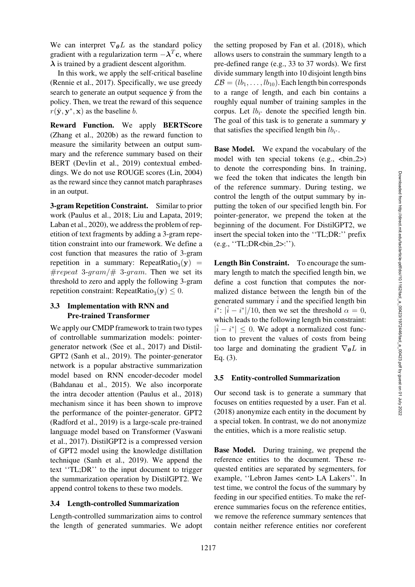We can interpret  $\nabla_{\theta}L$  as the standard policy gradient with a regularization term  $-\lambda^T c$ , where *λ* is trained by a gradient descent algorithm.

In this work, we apply the self-critical baseline [\(Rennie et al.](#page-16-8), [2017](#page-16-8)). Specifically, we use greedy search to generate an output sequence  $\bar{y}$  from the policy. Then, we treat the reward of this sequence  $r(\bar{v}, v^*, x)$  as the baseline b.

Reward Function. We apply BERTScore [\(Zhang et al.](#page-18-10), [2020b](#page-18-10)) as the reward function to measure the similarity between an output summary and the reference summary based on their BERT [\(Devlin et al., 2019\)](#page-14-6) contextual embeddings. We do not use ROUGE scores [\(Lin, 2004\)](#page-15-3) as the reward since they cannot match paraphrases in an output.

3-gram Repetition Constraint. Similar to prior work [\(Paulus et al.](#page-16-0), [2018;](#page-16-0) [Liu and Lapata](#page-16-9), [2019](#page-16-9); [Laban et al.](#page-15-1), [2020\)](#page-15-1), we address the problem of repetition of text fragments by adding a 3-gram repetition constraint into our framework. We define a cost function that measures the ratio of 3-gram repetition in a summary: RepeatRatio<sub>3</sub>(y) = #repeat 3-gram/# 3-gram. Then we set its threshold to zero and apply the following 3-gram repetition constraint: RepeatRatio<sub>3</sub>( $y$ ) < 0.

### 3.3 Implementation with RNN and Pre-trained Transformer

We apply our CMDP framework to train two types of controllable summarization models: pointergenerator network [\(See et al., 2017](#page-17-0)) and Distil-GPT2 [\(Sanh et al.](#page-17-1), [2019\)](#page-17-1). The pointer-generator network is a popular abstractive summarization model based on RNN encoder-decoder model [\(Bahdanau et al., 2015\)](#page-13-2). We also incorporate the intra decoder attention [\(Paulus et al.](#page-16-0), [2018\)](#page-16-0) mechanism since it has been shown to improve the performance of the pointer-generator. GPT2 [\(Radford et al.](#page-16-5), [2019](#page-16-5)) is a large-scale pre-trained language model based on Transformer (Vaswani et al., [2017](#page-17-2)). DistilGPT2 is a compressed version of GPT2 model using the knowledge distillation technique [\(Sanh et al.](#page-17-1), [2019](#page-17-1)). We append the text ''TL;DR'' to the input document to trigger the summarization operation by DistilGPT2. We append control tokens to these two models.

#### 3.4 Length-controlled Summarization

Length-controlled summarization aims to control the length of generated summaries. We adopt

the setting proposed by [Fan et al.](#page-14-0) [\(2018](#page-14-0)), which allows users to constrain the summary length to a pre-defined range (e.g., 33 to 37 words). We first divide summary length into 10 disjoint length bins  $\mathcal{LB} = (lb_1, \ldots, lb_{10})$ . Each length bin corresponds to a range of length, and each bin contains a roughly equal number of training samples in the corpus. Let  $lb_{i^*}$  denote the specified length bin. The goal of this task is to generate a summary **y** that satisfies the specified length bin  $lb_{i^*}$ .

Base Model. We expand the vocabulary of the model with ten special tokens  $(e.g.,$ to denote the corresponding bins. In training, we feed the token that indicates the length bin of the reference summary. During testing, we control the length of the output summary by inputting the token of our specified length bin. For pointer-generator, we prepend the token at the beginning of the document. For DistilGPT2, we insert the special token into the ''TL;DR:'' prefix (e.g., "TL;DR<br/>cbin\_2>:").

Length Bin Constraint. To encourage the summary length to match the specified length bin, we define a cost function that computes the normalized distance between the length bin of the generated summary  $\hat{i}$  and the specified length bin  $i^*$ :  $|\hat{i} - i^*|/10$ , then we set the threshold  $\alpha = 0$ , which leads to the following length bin constraint:  $|\hat{i} - i^*| \leq 0$ . We adopt a normalized cost function to prevent the values of costs from being too large and dominating the gradient  $\nabla_{\theta}L$  in Eq. [\(3\)](#page-3-0).

#### <span id="page-4-0"></span>3.5 Entity-controlled Summarization

Our second task is to generate a summary that focuses on entities requested by a user. [Fan et al.](#page-14-0) [\(2018\)](#page-14-0) anonymize each entity in the document by a special token. In contrast, we do not anonymize the entities, which is a more realistic setup.

Base Model. During training, we prepend the reference entities to the document. These requested entities are separated by segmenters, for example, ''Lebron James <ent> LA Lakers''. In test time, we control the focus of the summary by feeding in our specified entities. To make the reference summaries focus on the reference entities, we remove the reference summary sentences that contain neither reference entities nor coreferent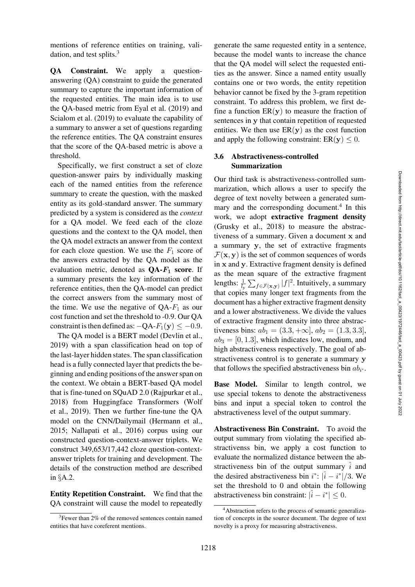mentions of reference entities on training, validation, and test splits. $3$ 

QA Constraint. We apply a questionanswering (QA) constraint to guide the generated summary to capture the important information of the requested entities. The main idea is to use the QA-based metric from [Eyal et al.](#page-14-7) [\(2019](#page-14-7)) and [Scialom et al.](#page-17-12) [\(2019\)](#page-17-12) to evaluate the capability of a summary to answer a set of questions regarding the reference entities. The QA constraint ensures that the score of the QA-based metric is above a threshold.

Specifically, we first construct a set of cloze question-answer pairs by individually masking each of the named entities from the reference summary to create the question, with the masked entity as its gold-standard answer. The summary predicted by a system is considered as the *context* for a QA model. We feed each of the cloze questions and the context to the QA model, then the QA model extracts an answer from the context for each cloze question. We use the  $F_1$  score of the answers extracted by the QA model as the evaluation metric, denoted as  $QA-F_1$  score. If a summary presents the key information of the reference entities, then the QA-model can predict the correct answers from the summary most of the time. We use the negative of  $QA-F_1$  as our cost function and set the threshold to -0.9. Our QA constraint is then defined as:  $-QA-F_1(y) \le -0.9$ .

The QA model is a BERT model [\(Devlin et al.,](#page-14-6) [2019](#page-14-6)) with a span classification head on top of the last-layer hidden states. The span classification head is a fully connected layer that predicts the beginning and ending positions of the answer span on the context. We obtain a BERT-based QA model that is fine-tuned on SQuAD 2.0 [\(Rajpurkar et al.,](#page-16-10) [2018](#page-16-10)) from Huggingface Transformers (Wolf et al., [2019\)](#page-18-11). Then we further fine-tune the QA model on the CNN/Dailymail [\(Hermann et al.,](#page-15-10) [2015](#page-15-10); [Nallapati et al.](#page-16-11), [2016](#page-16-11)) corpus using our constructed question-context-answer triplets. We construct 349,653/17,442 cloze question-contextanswer triplets for training and development. The details of the construction method are described in §[A.2.](#page-19-0)

Entity Repetition Constraint. We find that the QA constraint will cause the model to repeatedly generate the same requested entity in a sentence, because the model wants to increase the chance that the QA model will select the requested entities as the answer. Since a named entity usually contains one or two words, the entity repetition behavior cannot be fixed by the 3-gram repetition constraint. To address this problem, we first define a function  $ER(y)$  to measure the fraction of sentences in **y** that contain repetition of requested entities. We then use  $ER(y)$  as the cost function and apply the following constraint:  $ER(y) \leq 0$ .

## 3.6 Abstractiveness-controlled Summarization

Our third task is abstractiveness-controlled summarization, which allows a user to specify the degree of text novelty between a generated summary and the corresponding document.<sup>4</sup> In this work, we adopt extractive fragment density [\(Grusky et al., 2018\)](#page-14-1) to measure the abstractiveness of a summary. Given a document **x** and a summary **y**, the set of extractive fragments  $\mathcal{F}(\mathbf{x}, \mathbf{y})$  is the set of common sequences of words in **x** and **y**. Extractive fragment density is defined as the mean square of the extractive fragment lengths:  $\frac{1}{l_y} \sum_{f \in \mathcal{F}(\mathbf{x}, \mathbf{y})} |f|^2$ . Intuitively, a summary that copies many longer text fragments from the document has a higher extractive fragment density and a lower abstractiveness. We divide the values of extractive fragment density into three abstractiveness bins:  $ab_1 = (3.3, +\infty], ab_2 = (1.3, 3.3],$  $ab_3 = [0, 1.3]$ , which indicates low, medium, and high abstractiveness respectively. The goal of abstractiveness control is to generate a summary **y** that follows the specified abstractiveness bin  $ab_{i^*}$ .

Base Model. Similar to length control, we use special tokens to denote the abstractiveness bins and input a special token to control the abstractiveness level of the output summary.

Abstractiveness Bin Constraint. To avoid the output summary from violating the specified abstractivenss bin, we apply a cost function to evaluate the normalized distance between the abstractiveness bin of the output summary  $\hat{i}$  and the desired abstractiveness bin  $i^*$ :  $|\hat{i} - i^*|/3$ . We set the threshold to 0 and obtain the following abstractiveness bin constraint:  $|\hat{i} - i^*| \leq 0$ .

<span id="page-5-0"></span><sup>&</sup>lt;sup>3</sup>Fewer than 2% of the removed sentences contain named entities that have coreferent mentions.

<span id="page-5-1"></span><sup>4</sup>Abstraction refers to the process of semantic generalization of concepts in the source document. The degree of text novelty is a proxy for measuring abstractiveness.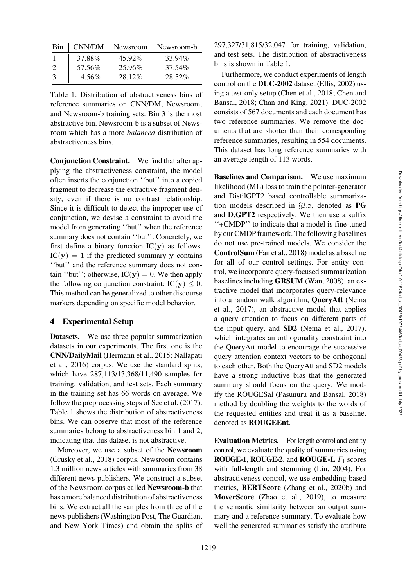| Bin | CNN/DM | Newsroom | Newsroom-b |
|-----|--------|----------|------------|
|     | 37.88% | 45.92%   | 33.94%     |
|     | 57.56% | 25.96%   | 37.54%     |
| -3  | 4.56%  | 28.12%   | 28.52%     |

<span id="page-6-0"></span>Table 1: Distribution of abstractiveness bins of reference summaries on CNN/DM, Newsroom, and Newsroom-b training sets. Bin 3 is the most abstractive bin. Newsroom-b is a subset of Newsroom which has a more *balanced* distribution of abstractiveness bins.

Conjunction Constraint. We find that after applying the abstractiveness constraint, the model often inserts the conjunction ''but'' into a copied fragment to decrease the extractive fragment density, even if there is no contrast relationship. Since it is difficult to detect the improper use of conjunction, we devise a constraint to avoid the model from generating ''but'' when the reference summary does not contain "but". Concretely, we first define a binary function  $IC(y)$  as follows.  $IC(y) = 1$  if the predicted summary y contains ''but'' and the reference summary does not contain "but"; otherwise,  $IC(y) = 0$ . We then apply the following conjunction constraint:  $IC(y) \leq 0$ . This method can be generalized to other discourse markers depending on specific model behavior.

#### 4 Experimental Setup

Datasets. We use three popular summarization datasets in our experiments. The first one is the CNN/DailyMail [\(Hermann et al.](#page-15-10)[,](#page-16-11) [2015](#page-15-10)[;](#page-16-11) Nallapati et al., [2016\)](#page-16-11) corpus. We use the standard splits, which have 287,113/13,368/11,490 samples for training, validation, and test sets. Each summary in the training set has 66 words on average. We follow the preprocessing steps of [See et al.](#page-17-0) [\(2017\)](#page-17-0). [Table 1](#page-6-0) shows the distribution of abstractiveness bins. We can observe that most of the reference summaries belong to abstractiveness bin 1 and 2, indicating that this dataset is not abstractive.

Moreover, we use a subset of the Newsroom [\(Grusky et al., 2018\)](#page-14-1) corpus. Newsroom contains 1.3 million news articles with summaries from 38 different news publishers. We construct a subset of the Newsroom corpus called Newsroom-b that has a more balanced distribution of abstractiveness bins. We extract all the samples from three of the news publishers (Washington Post, The Guardian, and New York Times) and obtain the splits of 297,327/31,815/32,047 for training, validation, and test sets. The distribution of abstractiveness bins is shown in [Table 1.](#page-6-0)

Furthermore, we conduct experiments of length control on the DUC-2002 dataset [\(Ellis, 2002](#page-14-8)) using a t[est-only setup](#page-14-10) [\(Chen et al.](#page-14-9)[,](#page-14-10) [2018](#page-14-9)[;](#page-14-10) Chen and Bansal, [2018](#page-14-10); [Chan and King](#page-14-11), [2021](#page-14-11)). DUC-2002 consists of 567 documents and each document has two reference summaries. We remove the documents that are shorter than their corresponding reference summaries, resulting in 554 documents. This dataset has long reference summaries with an average length of 113 words.

Baselines and Comparison. We use maximum likelihood (ML) loss to train the pointer-generator and DistilGPT2 based controllable summarization models described in §[3.5,](#page-4-0) denoted as PG and D.GPT2 respectively. We then use a suffix ''+CMDP'' to indicate that a model is fine-tuned by our CMDP framework. The following baselines do not use pre-trained models. We consider the ControlSum [\(Fan et al., 2018\)](#page-14-0) model as a baseline for all of our control settings. For entity control, we incorporate query-focused summarization baselines including GRSUM [\(Wan](#page-18-0), [2008\)](#page-18-0), an extractive model that incorporates query-relevance into [a random walk algorithm,](#page-16-3) QueryAtt (Nema et al., [2017\)](#page-16-3), an abstractive model that applies a query attention to focus on different parts of the input query, and SD2 [\(Nema et al.](#page-16-3), [2017](#page-16-3)), which integrates an orthogonality constraint into the QueryAtt model to encourage the successive query attention context vectors to be orthogonal to each other. Both the QueryAtt and SD2 models have a strong inductive bias that the generated summary should focus on the query. We modify the ROUGESal [\(Pasunuru and Bansal](#page-16-4), [2018\)](#page-16-4) method by doubling the weights to the words of the requested entities and treat it as a baseline, denoted as ROUGEEnt.

Evaluation Metrics. For length control and entity control, we evaluate the quality of summaries using **ROUGE-1, ROUGE-2, and ROUGE-L**  $F_1$  scores with full-length and stemming [\(Lin, 2004](#page-15-3)). For abstractiveness control, we use embedding-based metrics, BERTScore [\(Zhang et al., 2020b\)](#page-18-10) and MoverScore [\(Zhao et al.](#page-18-12), [2019\)](#page-18-12), to measure the semantic similarity between an output summary and a reference summary. To evaluate how well the generated summaries satisfy the attribute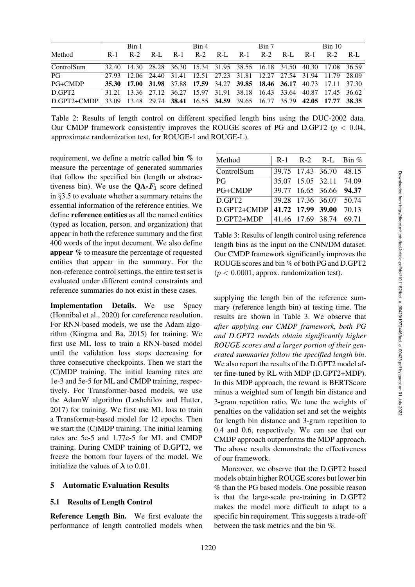|                    |       | Rin 1 |                                                                         | Bin 4 |  | Bin 7 |  | Bin 10      |  |
|--------------------|-------|-------|-------------------------------------------------------------------------|-------|--|-------|--|-------------|--|
| Method             | $R-1$ |       | R-2 R-L R-1 R-2 R-L R-1 R-2 R-L                                         |       |  |       |  | R-1 R-2 R-L |  |
| ControlSum         |       |       | 32.40 14.30 28.28 36.30 15.34 31.95 38.55 16.18 34.50 40.30 17.08 36.59 |       |  |       |  |             |  |
| PG                 | 27.93 |       | 12.06 24.40 31.41 12.51 27.23 31.81 12.27 27.54 31.94 11.79 28.09       |       |  |       |  |             |  |
| $PG+CMDP$          |       |       | 35.30 17.00 31.98 37.88 17.59 34.27 39.85 18.46 36.17 40.73 17.11 37.30 |       |  |       |  |             |  |
| D.GPT <sub>2</sub> |       |       | 31.21 13.36 27.12 36.27 15.97 31.91 38.18 16.43 33.64 40.87 17.45 36.62 |       |  |       |  |             |  |
| D.GPT2+CMDP        |       |       | 33.09 13.48 29.74 38.41 16.55 34.59 39.65 16.77 35.79 42.05 17.77 38.35 |       |  |       |  |             |  |

<span id="page-7-1"></span>Table 2: Results of length control on different specified length bins using the DUC-2002 data. Our CMDP framework consistently improves the ROUGE scores of PG and D.GPT2 ( $p < 0.04$ , approximate randomization test, for ROUGE-1 and ROUGE-L).

requirement, we define a metric called bin % to measure the percentage of generated summaries that follow the specified bin (length or abstractiveness bin). We use the  $QA$ - $F_1$  score defined in §[3.5](#page-4-0) to evaluate whether a summary retains the essential information of the reference entities. We define reference entities as all the named entities (typed as location, person, and organization) that appear in both the reference summary and the first 400 words of the input document. We also define appear % to measure the percentage of requested entities that appear in the summary. For the non-reference control settings, the entire test set is evaluated under different control constraints and reference summaries do not exist in these cases.

Implementation Details. We use Spacy [\(Honnibal et al.](#page-15-11), [2020\)](#page-15-11) for coreference resolution. For RNN-based models, we use the Adam algorithm [\(Kingma and Ba, 2015](#page-15-12)) for training. We first use ML loss to train a RNN-based model until the validation loss stops decreasing for three consecutive checkpoints. Then we start the (C)MDP training. The initial learning rates are 1e-3 and 5e-5 for ML and CMDP training, respectively. For Transformer-based models, we use the AdamW algorithm [\(Loshchilov and Hutter,](#page-16-12) [2017](#page-16-12)) for training. We first use ML loss to train a Transformer-based model for 12 epochs. Then we start the (C)MDP training. The initial learning rates are 5e-5 and 1.77e-5 for ML and CMDP training. During CMDP training of D.GPT2, we freeze the bottom four layers of the model. We initialize the values of  $\lambda$  to 0.01.

## 5 Automatic Evaluation Results

#### 5.1 Results of Length Control

Reference Length Bin. We first evaluate the performance of length controlled models when

| Method         | $R-1$ |                   | $R-2$ R-L Bin $%$       |       |
|----------------|-------|-------------------|-------------------------|-------|
| ControlSum     |       |                   | 39.75 17.43 36.70 48.15 |       |
| PG             |       |                   | 35.07 15.05 32.11 74.09 |       |
| <b>PG+CMDP</b> |       |                   | 39.77 16.65 36.66 94.37 |       |
| D.GPT2         |       |                   | 39.28 17.36 36.07 50.74 |       |
| D.GPT2+CMDP    |       | 41.72 17.99 39.00 |                         | 70.13 |
| D.GPT2+MDP     |       |                   | 41.46 17.69 38.74 69.71 |       |

<span id="page-7-0"></span>Table 3: Results of length control using reference length bins as the input on the CNN/DM dataset. Our CMDP framework significantly improves the ROUGE scores and bin % of both PG and D.GPT2  $(p < 0.0001$ , approx. randomization test).

supplying the length bin of the reference summary (reference length bin) at testing time. The results are shown in [Table 3.](#page-7-0) We observe that *after applying our CMDP framework, both PG and D.GPT2 models obtain significantly higher ROUGE scores and a larger portion of their generated summaries follow the specified length bin*. We also report the results of the D.GPT2 model after fine-tuned by RL with MDP (D.GPT2+MDP). In this MDP approach, the reward is BERTScore minus a weighted sum of length bin distance and 3-gram repetition ratio. We tune the weights of penalties on the validation set and set the weights for length bin distance and 3-gram repetition to 0.4 and 0.6, respectively. We can see that our CMDP approach outperforms the MDP approach. The above results demonstrate the effectiveness of our framework.

Moreover, we observe that the D.GPT2 based models obtain higher ROUGE scores but lower bin % than the PG based models. One possible reason is that the large-scale pre-training in D.GPT2 makes the model more difficult to adapt to a specific bin requirement. This suggests a trade-off between the task metrics and the bin %.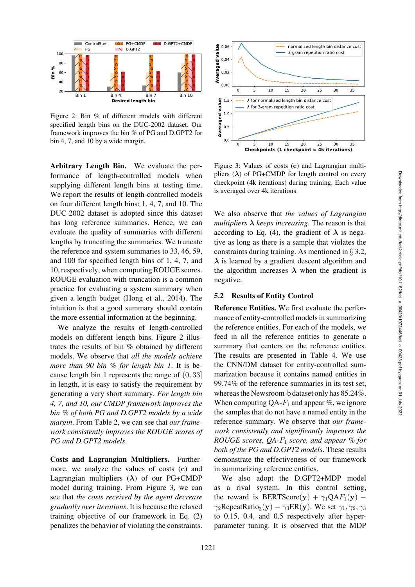

<span id="page-8-0"></span>Figure 2: Bin % of different models with different specified length bins on the DUC-2002 dataset. Our framework improves the bin % of PG and D.GPT2 for bin 4, 7, and 10 by a wide margin.

Arbitrary Length Bin. We evaluate the performance of length-controlled models when supplying different length bins at testing time. We report the results of length-controlled models on four different length bins: 1, 4, 7, and 10. The DUC-2002 dataset is adopted since this dataset has long reference summaries. Hence, we can evaluate the quality of summaries with different lengths by truncating the summaries. We truncate the reference and system summaries to 33, 46, 59, and 100 for specified length bins of 1, 4, 7, and 10, respectively, when computing ROUGE scores. ROUGE evaluation with truncation is a common practice for evaluating a system summary when given a length budget [\(Hong et al., 2014](#page-15-13)). The intuition is that a good summary should contain the more essential information at the beginning.

We analyze the results of length-controlled models on different length bins. [Figure 2](#page-8-0) illustrates the results of bin % obtained by different models. We observe that *all the models achieve more than 90 bin % for length bin 1*. It is because length bin 1 represents the range of (0, 33] in length, it is easy to satisfy the requirement by generating a very short summary. *For length bin 4, 7, and 10, our CMDP framework improves the bin % of both PG and D.GPT2 models by a wide margin*. From [Table 2,](#page-7-1) we can see that *our framework consistently improves the ROUGE scores of PG and D.GPT2 models*.

Costs and Lagrangian Multipliers. Furthermore, we analyze the values of costs (**c**) and Lagrangian multipliers (*λ*) of our PG+CMDP model during training. From [Figure 3,](#page-8-1) we can see that *the costs received by the agent decrease gradually over iterations*. It is because the relaxed training objective of our framework in Eq. (2) penalizes the behavior of violating the constraints.



<span id="page-8-1"></span>Figure 3: Values of costs (**c**) and Lagrangian multipliers  $(\lambda)$  of PG+CMDP for length control on every checkpoint (4k iterations) during training. Each value is averaged over 4k iterations.

We also observe that *the values of Lagrangian multipliers*  $\lambda$  *keeps increasing*. The reason is that according to Eq. [\(4\)](#page-3-1), the gradient of  $\lambda$  is negative as long as there is a sample that violates the constraints during training. As mentioned in § [3.2,](#page-3-2) *λ* is learned by a gradient descent algorithm and the algorithm increases  $\lambda$  when the gradient is negative.

#### <span id="page-8-2"></span>5.2 Results of Entity Control

Reference Entities. We first evaluate the performance of entity-controlled models in summarizing the reference entities. For each of the models, we feed in all the reference entities to generate a summary that centers on the reference entities. The results are presented in [Table 4.](#page-9-0) We use the CNN/DM dataset for entity-controlled summarization because it contains named entities in 99.74% of the reference summaries in its test set, whereas the Newsroom-b dataset only has 85.24%. When computing  $QA-F_1$  and appear %, we ignore the samples that do not have a named entity in the reference summary. We observe that *our framework consistently and significantly improves the ROUGE scores, QA-*F<sup>1</sup> *score, and appear % for both of the PG and D.GPT2 models*. These results demonstrate the effectiveness of our framework in summarizing reference entities.

We also adopt the D.GPT2+MDP model as a rival system. In this control setting, the reward is BERTScore(y) +  $\gamma_1 QAF_1(y)$  –  $\gamma_2$ RepeatRatio<sub>3</sub>(y) –  $\gamma_3$ ER(y). We set  $\gamma_1, \gamma_2, \gamma_3$ to 0.15, 0.4, and 0.5 respectively after hyperparameter tuning. It is observed that the MDP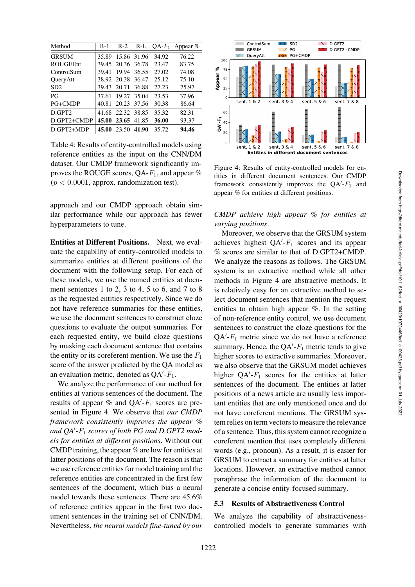| Method             | R-1   | $R-2$             | $R-L$       |       | $QA-F_1$ Appear % |
|--------------------|-------|-------------------|-------------|-------|-------------------|
| <b>GRSUM</b>       | 35.89 |                   | 15.86 31.96 | 34.92 | 76.22             |
| <b>ROUGEEnt</b>    |       | 39.45 20.36 36.78 |             | 23.47 | 83.75             |
| ControlSum         | 39.41 | 19.94             | 36.55       | 27.02 | 74.08             |
| QueryAtt           | 38.92 | 20.38 36.47       |             | 25.12 | 75.10             |
| SD2                | 39.43 | 20.71             | 36.88       | 27.23 | 75.97             |
| P <sub>G</sub>     | 37.61 | 19.27             | 35.04       | 23.53 | 37.96             |
| PG+CMDP            | 40.81 | 20.23             | 37.56       | 30.38 | 86.64             |
| D.GPT <sub>2</sub> |       | 41.68 22.32 38.85 |             | 35.32 | 82.31             |
| D.GPT2+CMDP        | 45.00 | 23.65 41.85       |             | 36.00 | 93.37             |
| D.GPT2+MDP         | 45.00 | 23.50 41.90       |             | 35.72 | 94.46             |

<span id="page-9-0"></span>Table 4: Results of entity-controlled models using reference entities as the input on the CNN/DM dataset. Our CMDP framework significantly improves the ROUGE scores,  $QA-F_1$ , and appear %  $(p < 0.0001$ , approx. randomization test).

approach and our CMDP approach obtain similar performance while our approach has fewer hyperparameters to tune.

Entities at Different Positions. Next, we evaluate the capability of entity-controlled models to summarize entities at different positions of the document with the following setup. For each of these models, we use the named entities at document sentences 1 to 2, 3 to 4, 5 to 6, and 7 to 8 as the requested entities respectively. Since we do not have reference summaries for these entities, we use the document sentences to construct cloze questions to evaluate the output summaries. For each requested entity, we build cloze questions by masking each document sentence that contains the entity or its coreferent mention. We use the  $F_1$ score of the answer predicted by the QA model as an evaluation metric, denoted as  $QA' - F_1$ .

We analyze the performance of our method for entities at various sentences of the document. The results of appear  $%$  and QA'- $F_1$  scores are presented in [Figure 4.](#page-9-1) We observe that *our CMDP framework consistently improves the appear % and QA -*F<sup>1</sup> *scores of both PG and D.GPT2 models for entities at different positions*. Without our CMDP training, the appear  $%$  are low for entities at latter positions of the document. The reason is that we use reference entities for model training and the reference entities are concentrated in the first few sentences of the document, which bias a neural model towards these sentences. There are 45.6% of reference entities appear in the first two document sentences in the training set of CNN/DM. Nevertheless, *the neural models fine-tuned by our*



<span id="page-9-1"></span>Figure 4: Results of entity-controlled models for entities in different document sentences. Our CMDP framework consistently improves the  $QA' - F_1$  and appear % for entities at different positions.

## *CMDP achieve high appear % for entities at varying positions*.

Moreover, we observe that the GRSUM system achieves highest  $QA' - F_1$  scores and its appear % scores are similar to that of D.GPT2+CMDP. We analyze the reasons as follows. The GRSUM system is an extractive method while all other methods in Figure 4 are abstractive methods. It is relatively easy for an extractive method to select document sentences that mention the request entities to obtain high appear %. In the setting of non-reference entity control, we use document sentences to construct the cloze questions for the  $QA' - F_1$  metric since we do not have a reference summary. Hence, the  $QA' - F_1$  metric tends to give higher scores to extractive summaries. Moreover, we also observe that the GRSUM model achieves higher  $QA' - F_1$  scores for the entities at latter sentences of the document. The entities at latter positions of a news article are usually less important entities that are only mentioned once and do not have coreferent mentions. The GRSUM system relies on term vectors to measure the relevance of a sentence. Thus, this system cannot recognize a coreferent mention that uses completely different words (e.g., pronoun). As a result, it is easier for GRSUM to extract a summary for entities at latter locations. However, an extractive method cannot paraphrase the information of the document to generate a concise entity-focused summary.

## 5.3 Results of Abstractiveness Control

We analyze the capability of abstractivenesscontrolled models to generate summaries with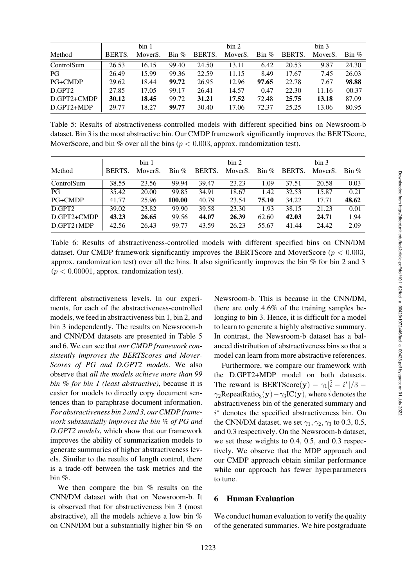|                |              | bin 1                |                        |               | bin 2                |                        |        | bin 3                |                        |
|----------------|--------------|----------------------|------------------------|---------------|----------------------|------------------------|--------|----------------------|------------------------|
| Method         | <b>BERTS</b> | Mover <sub>S</sub> . | $\operatorname{Bin}$ % | <b>BERTS.</b> | Mover <sub>S</sub> . | $\operatorname{Bin}$ % | BERTS. | Mover <sub>S</sub> . | $\operatorname{Bin}$ % |
| ControlSum     | 26.53        | 16.15                | 99.40                  | 24.50         | 13.11                | 6.42                   | 20.53  | 9.87                 | 24.30                  |
| PG             | 26.49        | 15.99                | 99.36                  | 22.59         | 11.15                | 8.49                   | 17.67  | 7.45                 | 26.03                  |
| <b>PG+CMDP</b> | 29.62        | 18.44                | 99.72                  | 26.95         | 12.96                | 97.65                  | 22.78  | 7.67                 | 98.88                  |
| D.GPT2         | 27.85        | 17.05                | 99.17                  | 26.41         | 14.57                | 0.47                   | 22.30  | 11.16                | 00.37                  |
| D.GPT2+CMDP    | 30.12        | 18.45                | 99.72                  | 31.21         | 17.52                | 72.48                  | 25.75  | 13.18                | 87.09                  |
| D.GPT2+MDP     | 29.77        | 18.27                | 99.77                  | 30.40         | 17.06                | 72.37                  | 25.25  | 13.06                | 80.95                  |

<span id="page-10-0"></span>Table 5: Results of abstractiveness-controlled models with different specified bins on Newsroom-b dataset. Bin 3 is the most abstractive bin. Our CMDP framework significantly improves the BERTScore, MoverScore, and bin % over all the bins ( $p < 0.003$ , approx. randomization test).

|                    |        | bin 1                |                        |        | bin 2                |                        |        | bin 3                |                        |
|--------------------|--------|----------------------|------------------------|--------|----------------------|------------------------|--------|----------------------|------------------------|
| Method             | BERTS. | Mover <sub>S</sub> . | $\operatorname{Bin}$ % | BERTS. | Mover <sub>S</sub> . | $\operatorname{Bin}$ % | BERTS. | Mover <sub>S</sub> . | $\operatorname{Bin}$ % |
| ControlSum         | 38.55  | 23.56                | 99.94                  | 39.47  | 23.23                | 1.09                   | 37.51  | 20.58                | 0.03                   |
| PG                 | 35.42  | 20.00                | 99.85                  | 34.91  | 18.67                | 1.42                   | 32.53  | 15.87                | 0.21                   |
| PG+CMDP            | 41.77  | 25.96                | 100.00                 | 40.79  | 23.54                | 75.10                  | 34.22  | 17.71                | 48.62                  |
| D.GPT <sub>2</sub> | 39.02  | 23.82                | 99.90                  | 39.58  | 23.30                | 1.93                   | 38.15  | 21.23                | 0.01                   |
| D.GPT2+CMDP        | 43.23  | 26.65                | 99.56                  | 44.07  | 26.39                | 62.60                  | 42.03  | 24.71                | 1.94                   |
| D.GPT2+MDP         | 42.56  | 26.43                | 99.77                  | 43.59  | 26.23                | 55.67                  | 41.44  | 24.42                | 2.09                   |

<span id="page-10-1"></span>Table 6: Results of abstractiveness-controlled models with different specified bins on CNN/DM dataset. Our CMDP framework significantly improves the BERTScore and MoverScore ( $p < 0.003$ , approx. randomization test) over all the bins. It also significantly improves the bin  $\%$  for bin 2 and 3  $(p < 0.00001$ , approx. randomization test).

different abstractiveness levels. In our experiments, for each of the abstractiveness-controlled models, we feed in abstractiveness bin 1, bin 2, and bin 3 independently. The results on Newsroom-b and CNN/DM datasets are presented in [Table 5](#page-10-0) and [6.](#page-10-1) We can see that *our CMDP framework consistently improves the BERTScores and Mover-Scores of PG and D.GPT2 models*. We also observe that *all the models achieve more than 99 bin % for bin 1 (least abstractive)*, because it is easier for models to directly copy document sentences than to paraphrase document information. *For abstractiveness bin 2 and 3, our CMDP framework substantially improves the bin % of PG and D.GPT2 models*, which show that our framework improves the ability of summarization models to generate summaries of higher abstractiveness levels. Similar to the results of length control, there is a trade-off between the task metrics and the bin %.

We then compare the bin  $%$  results on the CNN/DM dataset with that on Newsroom-b. It is observed that for abstractiveness bin 3 (most abstractive), all the models achieve a low bin % on CNN/DM but a substantially higher bin % on

Newsroom-b. This is because in the CNN/DM, there are only 4.6% of the training samples belonging to bin 3. Hence, it is difficult for a model to learn to generate a highly abstractive summary. In contrast, the Newsroom-b dataset has a balanced distribution of abstractiveness bins so that a model can learn from more abstractive references.

Furthermore, we compare our framework with the D.GPT2+MDP model on both datasets. The reward is BERTScore(y) –  $\gamma_1|\hat{i} - i^*|/3$  –  $\gamma_2$ RepeatRatio<sub>3</sub>(**y**)− $\gamma_3$ IC(**y**), where  $\hat{i}$  denotes the abstractiveness bin of the generated summary and i <sup>∗</sup> denotes the specified abstractiveness bin. On the CNN/DM dataset, we set  $\gamma_1, \gamma_2, \gamma_3$  to 0.3, 0.5, and 0.3 respectively. On the Newsroom-b dataset, we set these weights to 0.4, 0.5, and 0.3 respectively. We observe that the MDP approach and our CMDP approach obtain similar performance while our approach has fewer hyperparameters to tune.

## 6 Human Evaluation

We conduct human evaluation to verify the quality of the generated summaries. We hire postgraduate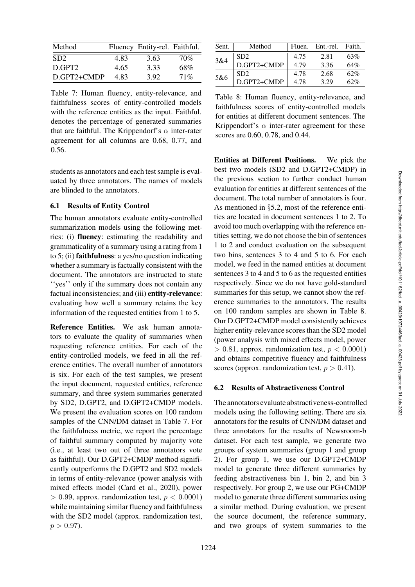| Method             |      | Fluency Entity-rel. Faithful. |     |
|--------------------|------|-------------------------------|-----|
| SD2                | 4.83 | 3.63                          | 70% |
| D.GPT <sub>2</sub> | 4.65 | 3.33                          | 68% |
| D.GPT2+CMDP        | 4 83 | 3.92                          | 71% |

<span id="page-11-0"></span>Table 7: Human fluency, entity-relevance, and faithfulness scores of entity-controlled models with the reference entities as the input. Faithful. denotes the percentage of generated summaries that are faithful. The Krippendorf's  $\alpha$  inter-rater agreement for all columns are 0.68, 0.77, and 0.56.

students as annotators and each test sample is evaluated by three annotators. The names of models are blinded to the annotators.

#### 6.1 Results of Entity Control

The human annotators evaluate entity-controlled summarization models using the following metrics: (i) fluency: estimating the readability and grammaticality of a summary using a rating from 1 to 5; (ii) faithfulness: a yes/no question indicating whether a summary is factually consistent with the document. The annotators are instructed to state ''yes'' only if the summary does not contain any factual inconsistencies; and (iii) entity-relevance: evaluating how well a summary retains the key information of the requested entities from 1 to 5.

Reference Entities. We ask human annotators to evaluate the quality of summaries when requesting reference entities. For each of the entity-controlled models, we feed in all the reference entities. The overall number of annotators is six. For each of the test samples, we present the input document, requested entities, reference summary, and three system summaries generated by SD2, D.GPT2, and D.GPT2+CMDP models. We present the evaluation scores on 100 random samples of the CNN/DM dataset in [Table 7.](#page-11-0) For the faithfulness metric, we report the percentage of faithful summary computed by majority vote (i.e., at least two out of three annotators vote as faithful). Our D.GPT2+CMDP method significantly outperforms the D.GPT2 and SD2 models in terms of entity-relevance (power analysis with mixed effects model [\(Card et al., 2020\)](#page-13-4), power  $> 0.99$ , approx. randomization test,  $p < 0.0001$ ) while maintaining similar fluency and faithfulness with the SD2 model (approx. randomization test,  $p > 0.97$ ).

| Sent. | Method          | Fluen. | Ent.-rel. | Faith. |
|-------|-----------------|--------|-----------|--------|
|       | SD <sub>2</sub> | 4.75   | 2.81      | 63%    |
| 3&4   | D.GPT2+CMDP     | 4.79   | 3.36      | 64%    |
| 5&6   | SD2             | 4.78   | 2.68      | 62%    |
|       | D.GPT2+CMDP     | 4.78   | 3.29      | 62%    |

<span id="page-11-1"></span>Table 8: Human fluency, entity-relevance, and faithfulness scores of entity-controlled models for entities at different document sentences. The Krippendorf's  $\alpha$  inter-rater agreement for these scores are 0.60, 0.78, and 0.44.

Entities at Different Positions. We pick the best two models (SD2 and D.GPT2+CMDP) in the previous section to further conduct human evaluation for entities at different sentences of the document. The total number of annotators is four. As mentioned in §[5.2,](#page-8-2) most of the reference entities are located in document sentences 1 to 2. To avoid too much overlapping with the reference entities setting, we do not choose the bin of sentences 1 to 2 and conduct evaluation on the subsequent two bins, sentences 3 to 4 and 5 to 6. For each model, we feed in the named entities at document sentences 3 to 4 and 5 to 6 as the requested entities respectively. Since we do not have gold-standard summaries for this setup, we cannot show the reference summaries to the annotators. The results on 100 random samples are shown in [Table 8.](#page-11-1) Our D.GPT2+CMDP model consistently achieves higher entity-relevance scores than the SD2 model (power analysis with mixed effects model, power  $> 0.81$ , approx. randomization test,  $p < 0.0001$ ) and obtains competitive fluency and faithfulness scores (approx. randomization test,  $p > 0.41$ ).

#### 6.2 Results of Abstractiveness Control

The annotators evaluate abstractiveness-controlled models using the following setting. There are six annotators for the results of CNN/DM dataset and three annotators for the results of Newsroom-b dataset. For each test sample, we generate two groups of system summaries (group 1 and group 2). For group 1, we use our D.GPT2+CMDP model to generate three different summaries by feeding abstractiveness bin 1, bin 2, and bin 3 respectively. For group 2, we use our PG+CMDP model to generate three different summaries using a similar method. During evaluation, we present the source document, the reference summary, and two groups of system summaries to the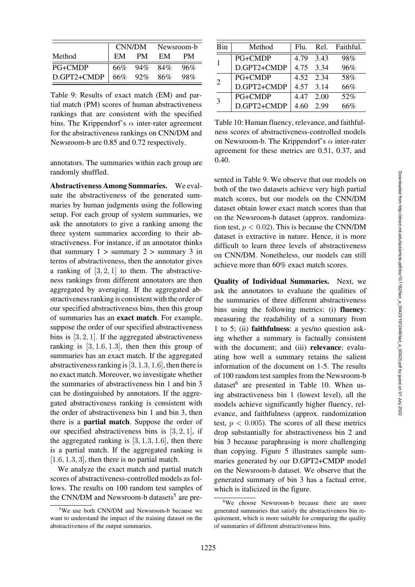|             | CNN/DM Newsroom-b |             |    |     |
|-------------|-------------------|-------------|----|-----|
| Method      | EM                | PM.         | EM | PМ  |
| PG+CMDP     | 66%               | 94% 84%     |    | 96% |
| D.GPT2+CMDP |                   | 66% 92% 86% |    | 98% |

<span id="page-12-1"></span>Table 9: Results of exact match (EM) and partial match (PM) scores of human abstractiveness rankings that are consistent with the specified bins. The Krippendorf's  $\alpha$  inter-rater agreement for the abstractiveness rankings on CNN/DM and Newsroom-b are 0.85 and 0.72 respectively.

annotators. The summaries within each group are randomly shuffled.

Abstractiveness Among Summaries. We evaluate the abstractiveness of the generated summaries by human judgments using the following setup. For each group of system summaries, we ask the annotators to give a ranking among the three system summaries according to their abstractiveness. For instance, if an annotator thinks that summary  $1 >$  summary  $2 >$  summary 3 in terms of abstractiveness, then the annotator gives a ranking of  $[3, 2, 1]$  to them. The abstractiveness rankings from different annotators are then aggregated by averaging. If the aggregated abstractiveness ranking is consistent with the order of our specified abstractiveness bins, then this group of summaries has an exact match. For example, suppose the order of our specified abstractiveness bins is  $[3, 2, 1]$ . If the aggregated abstractiveness ranking is  $[3, 1.6, 1.3]$ , then then this group of summaries has an exact match. If the aggregated abstractiveness ranking is  $[3, 1.3, 1.6]$ , then there is no exact match. Moreover, we investigate whether the summaries of abstractiveness bin 1 and bin 3 can be distinguished by annotators. If the aggregated abstractiveness ranking is consistent with the order of abstractiveness bin 1 and bin 3, then there is a partial match. Suppose the order of our specified abstractiveness bins is  $[3, 2, 1]$ , if the aggregated ranking is  $[3, 1.3, 1.6]$ , then there is a partial match. If the aggregated ranking is  $[1.6, 1.3, 3]$ , then there is no partial match.

We analyze the exact match and partial match scores of abstractiveness-controlled models as follows. The results on 100 random test samples of the CNN/DM and Newsroom-b datasets<sup>5</sup> are pre-

| Bin                   | Method         | Flu.      |           | Rel. Faithful. |
|-----------------------|----------------|-----------|-----------|----------------|
|                       | <b>PG+CMDP</b> | 4.79 3.43 |           | 98%            |
|                       | D.GPT2+CMDP    | 4.75 3.34 |           | 96%            |
| $\mathcal{D}_{\cdot}$ | <b>PG+CMDP</b> |           | 4.52 2.34 | 58%            |
|                       | D.GPT2+CMDP    | 4.57 3.14 |           | 66%            |
| 3                     | <b>PG+CMDP</b> | 447       | - 2.00    | 52%            |
|                       | D.GPT2+CMDP    |           | 2.99      | 66%            |

<span id="page-12-3"></span>Table 10: Human fluency, relevance, and faithfulness scores of abstractiveness-controlled models on Newsroom-b. The Krippendorf's  $\alpha$  inter-rater agreement for these metrics are 0.51, 0.37, and 0.40.

sented in [Table 9.](#page-12-1) We observe that our models on both of the two datasets achieve very high partial match scores, but our models on the CNN/DM dataset obtain lower exact match scores than that on the Newsroom-b dataset (approx. randomization test,  $p < 0.02$ ). This is because the CNN/DM dataset is extractive in nature. Hence, it is more difficult to learn three levels of abstractiveness on CNN/DM. Nonetheless, our models can still achieve more than 60% exact match scores.

Quality of Individual Summaries. Next, we ask the annotators to evaluate the qualities of the summaries of three different abstractiveness bins using the following metrics: (i) fluency: measuring the readability of a summary from 1 to 5; (ii) faithfulness: a yes/no question asking whether a summary is factually consistent with the document; and (iii) relevance: evaluating how well a summary retains the salient information of the document on 1-5. The results of 100 random test samples from the Newsroom-b dataset<sup>6</sup> are presented in [Table 10.](#page-12-3) When using abstractiveness bin 1 (lowest level), all the models achieve significantly higher fluency, relevance, and faithfulness (approx. randomization test,  $p < 0.005$ ). The scores of all these metrics drop substantially for abstractiveness bin 2 and bin 3 because paraphrasing is more challenging than copying. [Figure 5](#page-13-5) illustrates sample summaries generated by our D.GPT2+CMDP model on the Newsroom-b dataset. We observe that the generated summary of bin 3 has a factual error, which is italicized in the figure.

<span id="page-12-0"></span><sup>5</sup>We use both CNN/DM and Newsroom-b because we want to understand the impact of the training dataset on the abstractiveness of the output summaries.

<span id="page-12-2"></span><sup>&</sup>lt;sup>6</sup>We choose Newsroom-b because there are more generated summaries that satisfy the abstractiveness bin requirement, which is more suitable for comparing the quality of summaries of different abstractiveness bins.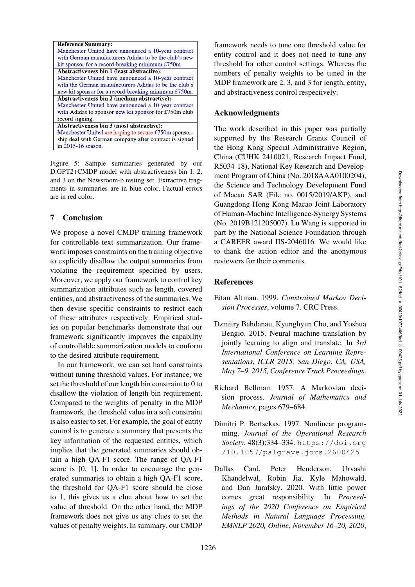| <b>Reference Summary:</b>                              |
|--------------------------------------------------------|
| Manchester United have announced a 10-year contract    |
| with German manufacturers Adidas to be the club's new  |
| kit sponsor for a record-breaking minimum £750m.       |
| Abstractiveness bin 1 (least abstractive):             |
| Manchester United have announced a 10-year contract    |
| with the German manufacturers Adidas to be the club's  |
| new kit sponsor for a record-breaking minimum £750m.   |
| Abstractiveness bin 2 (medium abstractive):            |
| Manchester United have announced a 10-year contract    |
| with Adidas to sponsor new kit sponsor for £750m club  |
| record signing.                                        |
| Abstractiveness bin 3 (most abstractive):              |
| Manchester United are hoping to secure £750m sponsor-  |
| ship deal with German company after contract is signed |
| in 2015-16 season.                                     |

<span id="page-13-5"></span>Figure 5: Sample summaries generated by our D.GPT2+CMDP model with abstractiveness bin 1, 2, and 3 on the Newsroom-b testing set. Extractive fragments in summaries are in blue color. Factual errors are in red color.

## 7 Conclusion

We propose a novel CMDP training framework for controllable text summarization. Our framework imposes constraints on the training objective to explicitly disallow the output summaries from violating the requirement specified by users. Moreover, we apply our framework to control key summarization attributes such as length, covered entities, and abstractiveness of the summaries. We then devise specific constraints to restrict each of these attributes respectively. Empirical studies on popular benchmarks demonstrate that our framework significantly improves the capability of controllable summarization models to conform to the desired attribute requirement.

In our framework, we can set hard constraints without tuning threshold values. For instance, we set the threshold of our length bin constraint to 0 to disallow the violation of length bin requirement. Compared to the weights of penalty in the MDP framework, the threshold value in a soft constraint is also easier to set. For example, the goal of entity control is to generate a summary that presents the key information of the requested entities, which implies that the generated summaries should obtain a high QA-F1 score. The range of QA-F1 score is [0, 1]. In order to encourage the generated summaries to obtain a high QA-F1 score, the threshold for QA-F1 score should be close to 1, this gives us a clue about how to set the value of threshold. On the other hand, the MDP framework does not give us any clues to set the values of penalty weights. In summary, our CMDP framework needs to tune one threshold value for entity control and it does not need to tune any threshold for other control settings. Whereas the numbers of penalty weights to be tuned in the MDP framework are 2, 3, and 3 for length, entity, and abstractiveness control respectively.

### Acknowledgments

The work described in this paper was partially supported by the Research Grants Council of the Hong Kong Special Administrative Region, China (CUHK 2410021, Research Impact Fund, R5034-18), National Key Research and Development Program of China (No. 2018AAA0100204), the Science and Technology Development Fund of Macau SAR (File no. 0015/2019/AKP), and Guangdong-Hong Kong-Macao Joint Laboratory of Human-Machine Intelligence-Synergy Systems (No. 2019B121205007). Lu Wang is supported in part by the National Science Foundation through a CAREER award IIS-2046016. We would like to thank the action editor and the anonymous reviewers for their comments.

#### References

- <span id="page-13-1"></span>Eitan Altman. 1999. *Constrained Markov Decision Processes*, volume 7. CRC Press.
- <span id="page-13-2"></span>Dzmitry Bahdanau, Kyunghyun Cho, and Yoshua Bengio. 2015. Neural machine translation by jointly learning to align and translate. In *3rd International Conference on Learning Representations, ICLR 2015, San Diego, CA, USA, May 7–9, 2015, Conference Track Proceedings*.
- <span id="page-13-0"></span>Richard Bellman. 1957. A Markovian decision process. *Journal of Mathematics and Mechanics*, pages 679–684.
- <span id="page-13-3"></span>Dimitri P. Bertsekas. 1997. Nonlinear programming. *Journal of the Operational Research Society*, 48(3):334–334. [https://doi.org](https://doi.org/10.1057/palgrave.jors.2600425) [/10.1057/palgrave.jors.2600425](https://doi.org/10.1057/palgrave.jors.2600425)
- <span id="page-13-4"></span>Dallas Card, Peter Henderson, Urvashi Khandelwal, Robin Jia, Kyle Mahowald, and Dan Jurafsky. 2020. With little power comes great responsibility. In *Proceedings of the 2020 Conference on Empirical Methods in Natural Language Processing, EMNLP 2020, Online, November 16–20, 2020*,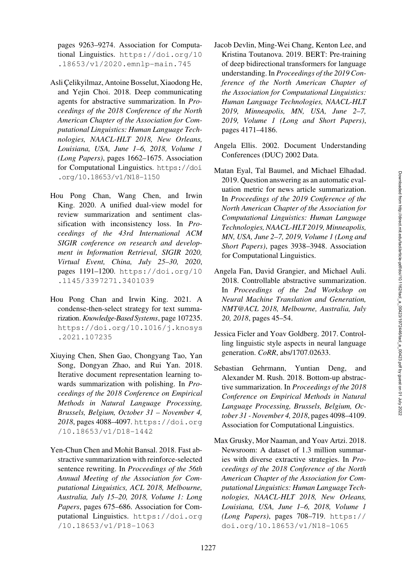pages 9263–9274. Association for Computational Linguistics. [https://doi.org/10](https://doi.org/10.18653/v1/2020.emnlp-main.745) [.18653/v1/2020.emnlp-main.745](https://doi.org/10.18653/v1/2020.emnlp-main.745)

- <span id="page-14-4"></span>Asli Çelikyilmaz, Antoine Bosselut, Xiaodong He, and Yejin Choi. 2018. Deep communicating agents for abstractive summarization. In *Proceedings of the 2018 Conference of the North American Chapter of the Association for Computational Linguistics: Human Language Technologies, NAACL-HLT 2018, New Orleans, Louisiana, USA, June 1–6, 2018, Volume 1 (Long Papers)*, pages 1662–1675. Association for Computational Linguistics. [https://doi](https://doi.org/10.18653/v1/N18-1150) [.org/10.18653/v1/N18-1150](https://doi.org/10.18653/v1/N18-1150)
- <span id="page-14-3"></span>Hou Pong Chan, Wang Chen, and Irwin King. 2020. A unified dual-view model for review summarization and sentiment classification with inconsistency loss. In *Proceedings of the 43rd International ACM SIGIR conference on research and development in Information Retrieval, SIGIR 2020, Virtual Event, China, July 25–30, 2020*, pages 1191–1200. [https://doi.org/10](https://doi.org/10.1145/3397271.3401039) [.1145/3397271.3401039](https://doi.org/10.1145/3397271.3401039)
- <span id="page-14-11"></span>Hou Pong Chan and Irwin King. 2021. A condense-then-select strategy for text summarization. *Knowledge-Based Systems*, page 107235. [https://doi.org/10.1016/j.knosys](https://doi.org/10.1016/j.knosys.2021.107235) [.2021.107235](https://doi.org/10.1016/j.knosys.2021.107235)
- <span id="page-14-9"></span>Xiuying Chen, Shen Gao, Chongyang Tao, Yan Song, Dongyan Zhao, and Rui Yan. 2018. Iterative document representation learning towards summarization with polishing. In *Proceedings of the 2018 Conference on Empirical Methods in Natural Language Processing, Brussels, Belgium, October 31 – November 4, 2018*, pages 4088–4097. [https://doi.org](https://doi.org/10.18653/v1/D18-1442) [/10.18653/v1/D18-1442](https://doi.org/10.18653/v1/D18-1442)
- <span id="page-14-10"></span>Yen-Chun Chen and Mohit Bansal. 2018. Fast abstractive summarization with reinforce-selected sentence rewriting. In *Proceedings of the 56th Annual Meeting of the Association for Computational Linguistics, ACL 2018, Melbourne, Australia, July 15–20, 2018, Volume 1: Long Papers*, pages 675–686. Association for Computational Linguistics. [https://doi.org](https://doi.org/10.18653/v1/P18-1063) [/10.18653/v1/P18-1063](https://doi.org/10.18653/v1/P18-1063)
- <span id="page-14-6"></span>Jacob Devlin, Ming-Wei Chang, Kenton Lee, and Kristina Toutanova. 2019. BERT: Pre-training of deep bidirectional transformers for language understanding. In *Proceedings of the 2019 Conference of the North American Chapter of the Association for Computational Linguistics: Human Language Technologies, NAACL-HLT 2019, Minneapolis, MN, USA, June 2–7, 2019, Volume 1 (Long and Short Papers)*, pages 4171–4186.
- <span id="page-14-8"></span>Angela Ellis. 2002. Document Understanding Conferences (DUC) 2002 Data.
- <span id="page-14-7"></span>Matan Eyal, Tal Baumel, and Michael Elhadad. 2019. Question answering as an automatic evaluation metric for news article summarization. In *Proceedings of the 2019 Conference of the North American Chapter of the Association for Computational Linguistics: Human Language Technologies, NAACL-HLT 2019, Minneapolis, MN, USA, June 2–7, 2019, Volume 1 (Long and Short Papers)*, pages 3938–3948. Association for Computational Linguistics.
- <span id="page-14-0"></span>Angela Fan, David Grangier, and Michael Auli. 2018. Controllable abstractive summarization. In *Proceedings of the 2nd Workshop on Neural Machine Translation and Generation, NMT@ACL 2018, Melbourne, Australia, July 20, 2018*, pages 45–54.
- <span id="page-14-5"></span>Jessica Ficler and Yoav Goldberg. 2017. Controlling linguistic style aspects in neural language generation. *CoRR*, abs/1707.02633.
- <span id="page-14-2"></span>Sebastian Gehrmann, Yuntian Deng, and Alexander M. Rush. 2018. Bottom-up abstractive summarization. In *Proceedings of the 2018 Conference on Empirical Methods in Natural Language Processing, Brussels, Belgium, October 31 - November 4, 2018*, pages 4098–4109. Association for Computational Linguistics.
- <span id="page-14-1"></span>Max Grusky, Mor Naaman, and Yoav Artzi. 2018. Newsroom: A dataset of 1.3 million summaries with diverse extractive strategies. In *Proceedings of the 2018 Conference of the North American Chapter of the Association for Computational Linguistics: Human Language Technologies, NAACL-HLT 2018, New Orleans, Louisiana, USA, June 1–6, 2018, Volume 1 (Long Papers)*, pages 708–719. [https://](https://doi.org/10.18653/v1/N18-1065) [doi.org/10.18653/v1/N18-1065](https://doi.org/10.18653/v1/N18-1065)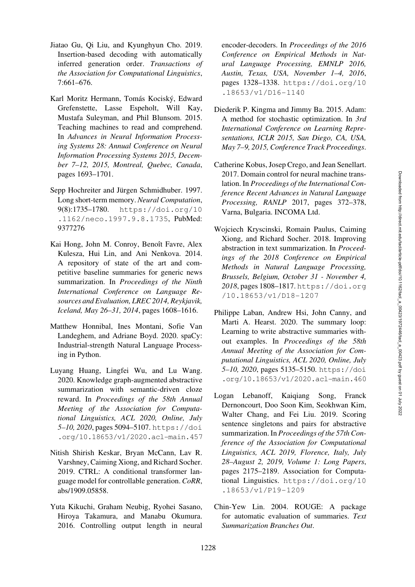- <span id="page-15-8"></span>Jiatao Gu, Qi Liu, and Kyunghyun Cho. 2019. Insertion-based decoding with automatically inferred generation order. *Transactions of the Association for Computational Linguistics*, 7:661–676.
- <span id="page-15-10"></span>Karl Moritz Hermann, Tomás Kociský, Edward Grefenstette, Lasse Espeholt, Will Kay, Mustafa Suleyman, and Phil Blunsom. 2015. Teaching machines to read and comprehend. In *Advances in Neural Information Processing Systems 28: Annual Conference on Neural Information Processing Systems 2015, December 7–12, 2015, Montreal, Quebec, Canada*, pages 1693–1701.
- <span id="page-15-0"></span>Sepp Hochreiter and Jürgen Schmidhuber. 1997. Long short-term memory. *Neural Computation*, 9(8):1735–1780. [https://doi.org/10](https://doi.org/10.1162/neco.1997.9.8.1735) [.1162/neco.1997.9.8.1735](https://doi.org/10.1162/neco.1997.9.8.1735), PubMed: [9377276](https://pubmed.ncbi.nlm.nih.gov/9377276)
- <span id="page-15-13"></span>Kai Hong, John M. Conroy, Benoît Favre, Alex Kulesza, Hui Lin, and Ani Nenkova. 2014. A repository of state of the art and competitive baseline summaries for generic news summarization. In *Proceedings of the Ninth International Conference on Language Resources and Evaluation, LREC 2014, Reykjavik, Iceland, May 26–31, 2014*, pages 1608–1616.
- <span id="page-15-11"></span>Matthew Honnibal, Ines Montani, Sofie Van Landeghem, and Adriane Boyd. 2020. spaCy: Industrial-strength Natural Language Processing in Python.
- <span id="page-15-4"></span>Luyang Huang, Lingfei Wu, and Lu Wang. 2020. Knowledge graph-augmented abstractive summarization with semantic-driven cloze reward. In *Proceedings of the 58th Annual Meeting of the Association for Computational Linguistics, ACL 2020, Online, July 5–10, 2020*, pages 5094–5107. [https://doi](https://doi.org/10.18653/v1/2020.acl-main.457) [.org/10.18653/v1/2020.acl-main.457](https://doi.org/10.18653/v1/2020.acl-main.457)
- <span id="page-15-9"></span>Nitish Shirish Keskar, Bryan McCann, Lav R. Varshney, Caiming Xiong, and Richard Socher. 2019. CTRL: A conditional transformer language model for controllable generation. *CoRR*, abs/1909.05858.
- <span id="page-15-7"></span>Yuta Kikuchi, Graham Neubig, Ryohei Sasano, Hiroya Takamura, and Manabu Okumura. 2016. Controlling output length in neural

encoder-decoders. In *Proceedings of the 2016 Conference on Empirical Methods in Natural Language Processing, EMNLP 2016, Austin, Texas, USA, November 1–4, 2016*, pages 1328–1338. [https://doi.org/10](https://doi.org/10.18653/v1/D16-1140) [.18653/v1/D16-1140](https://doi.org/10.18653/v1/D16-1140)

- <span id="page-15-12"></span>Diederik P. Kingma and Jimmy Ba. 2015. Adam: A method for stochastic optimization. In *3rd International Conference on Learning Representations, ICLR 2015, San Diego, CA, USA, May 7–9, 2015, Conference Track Proceedings*.
- <span id="page-15-6"></span>Catherine Kobus, Josep Crego, and Jean Senellart. 2017. Domain control for neural machine translation. In *Proceedings of the International Conference Recent Advances in Natural Language Processing, RANLP* 2017, pages 372–378, Varna, Bulgaria. INCOMA Ltd.
- <span id="page-15-5"></span>Wojciech Kryscinski, Romain Paulus, Caiming Xiong, and Richard Socher. 2018. Improving abstraction in text summarization. In *Proceedings of the 2018 Conference on Empirical Methods in Natural Language Processing, Brussels, Belgium, October 31 - November 4, 2018*, pages 1808–1817. [https://doi.org](https://doi.org/10.18653/v1/D18-1207) [/10.18653/v1/D18-1207](https://doi.org/10.18653/v1/D18-1207)
- <span id="page-15-1"></span>Philippe Laban, Andrew Hsi, John Canny, and Marti A. Hearst. 2020. The summary loop: Learning to write abstractive summaries without examples. In *Proceedings of the 58th Annual Meeting of the Association for Computational Linguistics, ACL 2020, Online, July 5–10, 2020*, pages 5135–5150. [https://doi](https://doi.org/10.18653/v1/2020.acl-main.460) [.org/10.18653/v1/2020.acl-main.460](https://doi.org/10.18653/v1/2020.acl-main.460)
- <span id="page-15-2"></span>Logan Lebanoff, Kaiqiang Song, Franck Dernoncourt, Doo Soon Kim, Seokhwan Kim, Walter Chang, and Fei Liu. 2019. Scoring sentence singletons and pairs for abstractive summarization. In *Proceedings of the 57th Conference of the Association for Computational Linguistics, ACL 2019, Florence, Italy, July 28–August 2, 2019, Volume 1: Long Papers*, pages 2175–2189. Association for Computational Linguistics. [https://doi.org/10](https://doi.org/10.18653/v1/P19-1209) [.18653/v1/P19-1209](https://doi.org/10.18653/v1/P19-1209)
- <span id="page-15-3"></span>Chin-Yew Lin. 2004. ROUGE: A package for automatic evaluation of summaries. *Text Summarization Branches Out*.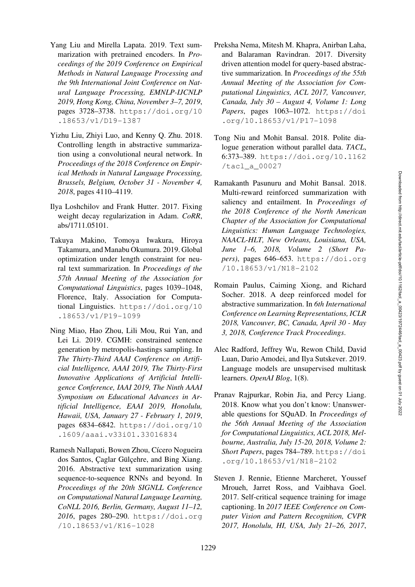- <span id="page-16-9"></span>Yang Liu and Mirella Lapata. 2019. Text summarization with pretrained encoders. In *Proceedings of the 2019 Conference on Empirical Methods in Natural Language Processing and the 9th International Joint Conference on Natural Language Processing, EMNLP-IJCNLP 2019, Hong Kong, China, November 3–7, 2019*, pages 3728–3738. [https://doi.org/10](https://doi.org/10.18653/v1/D19-1387) [.18653/v1/D19-1387](https://doi.org/10.18653/v1/D19-1387)
- <span id="page-16-1"></span>Yizhu Liu, Zhiyi Luo, and Kenny Q. Zhu. 2018. Controlling length in abstractive summarization using a convolutional neural network. In *Proceedings of the 2018 Conference on Empirical Methods in Natural Language Processing, Brussels, Belgium, October 31 - November 4, 2018*, pages 4110–4119.
- <span id="page-16-12"></span>Ilya Loshchilov and Frank Hutter. 2017. Fixing weight decay regularization in Adam. *CoRR*, abs/1711.05101.
- <span id="page-16-2"></span>Takuya Makino, Tomoya Iwakura, Hiroya Takamura, and Manabu Okumura. 2019. Global optimization under length constraint for neural text summarization. In *Proceedings of the 57th Annual Meeting of the Association for Computational Linguistics*, pages 1039–1048, Florence, Italy. Association for Computational Linguistics. [https://doi.org/10](https://doi.org/10.18653/v1/P19-1099) [.18653/v1/P19-1099](https://doi.org/10.18653/v1/P19-1099)
- <span id="page-16-6"></span>Ning Miao, Hao Zhou, Lili Mou, Rui Yan, and Lei Li. 2019. CGMH: constrained sentence generation by metropolis-hastings sampling. In *The Thirty-Third AAAI Conference on Artificial Intelligence, AAAI 2019, The Thirty-First Innovative Applications of Artificial Intelligence Conference, IAAI 2019, The Ninth AAAI Symposium on Educational Advances in Artificial Intelligence, EAAI 2019, Honolulu, Hawaii, USA, January 27 - February 1, 2019*, pages 6834–6842. [https://doi.org/10](https://doi.org/10.1609/aaai.v33i01.33016834) [.1609/aaai.v33i01.33016834](https://doi.org/10.1609/aaai.v33i01.33016834)
- <span id="page-16-11"></span>Ramesh Nallapati, Bowen Zhou, Cícero Nogueira dos Santos, Çaglar Gülçehre, and Bing Xiang. 2016. Abstractive text summarization using sequence-to-sequence RNNs and beyond. In *Proceedings of the 20th SIGNLL Conference on Computational Natural Language Learning, CoNLL 2016, Berlin, Germany, August 11–12, 2016*, pages 280–290. [https://doi.org](https://doi.org/10.18653/v1/K16-1028) [/10.18653/v1/K16-1028](https://doi.org/10.18653/v1/K16-1028)
- <span id="page-16-3"></span>Preksha Nema, Mitesh M. Khapra, Anirban Laha, and Balaraman Ravindran. 2017. Diversity driven attention model for query-based abstractive summarization. In *Proceedings of the 55th Annual Meeting of the Association for Computational Linguistics, ACL 2017, Vancouver, Canada, July 30 – August 4, Volume 1: Long Papers*, pages 1063–1072. [https://doi](https://doi.org/10.18653/v1/P17-1098) [.org/10.18653/v1/P17-1098](https://doi.org/10.18653/v1/P17-1098)
- <span id="page-16-7"></span>Tong Niu and Mohit Bansal. 2018. Polite dialogue generation without parallel data. *TACL*, 6:373–389. [https://doi.org/10.1162](https://doi.org/10.1162/tacl_a_00027) [/tacl\\_a\\_00027](https://doi.org/10.1162/tacl_a_00027)
- <span id="page-16-4"></span>Ramakanth Pasunuru and Mohit Bansal. 2018. Multi-reward reinforced summarization with saliency and entailment. In *Proceedings of the 2018 Conference of the North American Chapter of the Association for Computational Linguistics: Human Language Technologies, NAACL-HLT, New Orleans, Louisiana, USA, June 1–6, 2018, Volume 2 (Short Papers)*, pages 646–653. [https://doi.org](https://doi.org/10.18653/v1/N18-2102) [/10.18653/v1/N18-2102](https://doi.org/10.18653/v1/N18-2102)
- <span id="page-16-0"></span>Romain Paulus, Caiming Xiong, and Richard Socher. 2018. A deep reinforced model for abstractive summarization. In *6th International Conference on Learning Representations, ICLR 2018, Vancouver, BC, Canada, April 30 - May 3, 2018, Conference Track Proceedings*.
- <span id="page-16-5"></span>Alec Radford, Jeffrey Wu, Rewon Child, David Luan, Dario Amodei, and Ilya Sutskever. 2019. Language models are unsupervised multitask learners. *OpenAI Blog*, 1(8).
- <span id="page-16-10"></span>Pranav Rajpurkar, Robin Jia, and Percy Liang. 2018. Know what you don't know: Unanswerable questions for SQuAD. In *Proceedings of the 56th Annual Meeting of the Association for Computational Linguistics, ACL 2018, Melbourne, Australia, July 15-20, 2018, Volume 2: Short Papers*, pages 784–789. [https://doi](https://doi.org/10.18653/v1/N18-2102) [.org/10.18653/v1/N18-2102](https://doi.org/10.18653/v1/N18-2102)
- <span id="page-16-8"></span>Steven J. Rennie, Etienne Marcheret, Youssef Mroueh, Jarret Ross, and Vaibhava Goel. 2017. Self-critical sequence training for image captioning. In *2017 IEEE Conference on Computer Vision and Pattern Recognition, CVPR 2017, Honolulu, HI, USA, July 21–26, 2017*,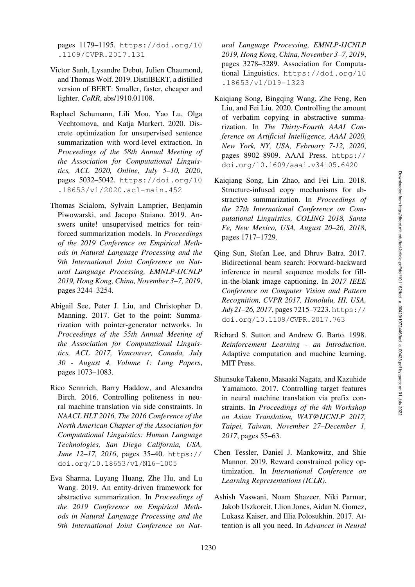pages 1179–1195. [https://doi.org/10](https://doi.org/10.1109/CVPR.2017.131) [.1109/CVPR.2017.131](https://doi.org/10.1109/CVPR.2017.131)

- <span id="page-17-1"></span>Victor Sanh, Lysandre Debut, Julien Chaumond, and Thomas Wolf. 2019. DistilBERT, a distilled version of BERT: Smaller, faster, cheaper and lighter. *CoRR*, abs/1910.01108.
- <span id="page-17-8"></span>Raphael Schumann, Lili Mou, Yao Lu, Olga Vechtomova, and Katja Markert. 2020. Discrete optimization for unsupervised sentence summarization with word-level extraction. In *Proceedings of the 58th Annual Meeting of the Association for Computational Linguistics, ACL 2020, Online, July 5–10, 2020*, pages 5032–5042. [https://doi.org/10](https://doi.org/10.18653/v1/2020.acl-main.452) [.18653/v1/2020.acl-main.452](https://doi.org/10.18653/v1/2020.acl-main.452)
- <span id="page-17-12"></span>Thomas Scialom, Sylvain Lamprier, Benjamin Piwowarski, and Jacopo Staiano. 2019. Answers unite! unsupervised metrics for reinforced summarization models. In *Proceedings of the 2019 Conference on Empirical Methods in Natural Language Processing and the 9th International Joint Conference on Natural Language Processing, EMNLP-IJCNLP 2019, Hong Kong, China, November 3–7, 2019*, pages 3244–3254.
- <span id="page-17-0"></span>Abigail See, Peter J. Liu, and Christopher D. Manning. 2017. Get to the point: Summarization with pointer-generator networks. In *Proceedings of the 55th Annual Meeting of the Association for Computational Linguistics, ACL 2017, Vancouver, Canada, July 30 - August 4, Volume 1: Long Papers*, pages 1073–1083.
- <span id="page-17-6"></span>Rico Sennrich, Barry Haddow, and Alexandra Birch. 2016. Controlling politeness in neural machine translation via side constraints. In *NAACL HLT 2016, The 2016 Conference of the North American Chapter of the Association for Computational Linguistics: Human Language Technologies, San Diego California, USA, June 12–17, 2016*, pages 35–40. [https://](https://doi.org/10.18653/v1/N16-1005) [doi.org/10.18653/v1/N16-1005](https://doi.org/10.18653/v1/N16-1005)
- <span id="page-17-5"></span>Eva Sharma, Luyang Huang, Zhe Hu, and Lu Wang. 2019. An entity-driven framework for abstractive summarization. In *Proceedings of the 2019 Conference on Empirical Methods in Natural Language Processing and the 9th International Joint Conference on Nat-*

*ural Language Processing, EMNLP-IJCNLP 2019, Hong Kong, China, November 3–7, 2019*, pages 3278–3289. Association for Computational Linguistics. [https://doi.org/10](https://doi.org/10.18653/v1/D19-1323) [.18653/v1/D19-1323](https://doi.org/10.18653/v1/D19-1323)

- <span id="page-17-3"></span>Kaiqiang Song, Bingqing Wang, Zhe Feng, Ren Liu, and Fei Liu. 2020. Controlling the amount of verbatim copying in abstractive summarization. In *The Thirty-Fourth AAAI Conference on Artificial Intelligence, AAAI 2020, New York, NY, USA, February 7-12, 2020*, pages 8902–8909. AAAI Press. [https://](https://doi.org/10.1609/aaai.v34i05.6420) [doi.org/10.1609/aaai.v34i05.6420](https://doi.org/10.1609/aaai.v34i05.6420)
- <span id="page-17-4"></span>Kaiqiang Song, Lin Zhao, and Fei Liu. 2018. Structure-infused copy mechanisms for abstractive summarization. In *Proceedings of the 27th International Conference on Computational Linguistics, COLING 2018, Santa Fe, New Mexico, USA, August 20–26, 2018*, pages 1717–1729.
- <span id="page-17-9"></span>Qing Sun, Stefan Lee, and Dhruv Batra. 2017. Bidirectional beam search: Forward-backward inference in neural sequence models for fillin-the-blank image captioning. In *2017 IEEE Conference on Computer Vision and Pattern Recognition, CVPR 2017, Honolulu, HI, USA, July21–26, 2017*, pages 7215–7223. [https://](https://doi.org/10.1109/CVPR.2017.763) [doi.org/10.1109/CVPR.2017.763](https://doi.org/10.1109/CVPR.2017.763)
- <span id="page-17-11"></span>Richard S. Sutton and Andrew G. Barto. 1998. *Reinforcement Learning - an Introduction*. Adaptive computation and machine learning. MIT Press.
- <span id="page-17-7"></span>Shunsuke Takeno, Masaaki Nagata, and Kazuhide Yamamoto. 2017. Controlling target features in neural machine translation via prefix constraints. In *Proceedings of the 4th Workshop on Asian Translation, WAT@IJCNLP 2017, Taipei, Taiwan, November 27–December 1, 2017*, pages 55–63.
- <span id="page-17-10"></span>Chen Tessler, Daniel J. Mankowitz, and Shie Mannor. 2019. Reward constrained policy optimization. In *International Conference on Learning Representations (ICLR)*.
- <span id="page-17-2"></span>Ashish Vaswani, Noam Shazeer, Niki Parmar, Jakob Uszkoreit, Llion Jones, Aidan N. Gomez, Lukasz Kaiser, and Illia Polosukhin. 2017. Attention is all you need. In *Advances in Neural*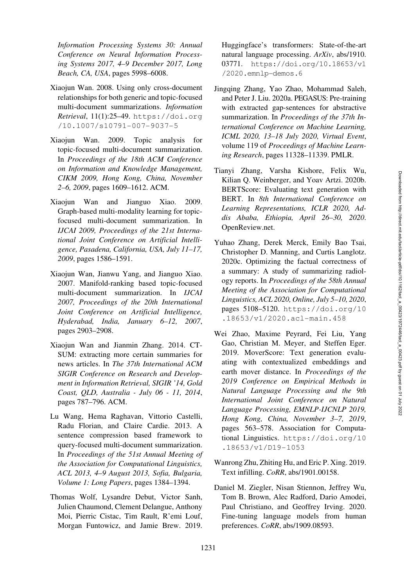*Information Processing Systems 30: Annual Conference on Neural Information Processing Systems 2017, 4–9 December 2017, Long Beach, CA, USA*, pages 5998–6008.

- <span id="page-18-0"></span>Xiaojun Wan. 2008. Using only cross-document relationships for both generic and topic-focused multi-document summarizations. *Information Retrieval*, 11(1):25–49. [https://doi.org](https://doi.org/10.1007/s10791-007-9037-5) [/10.1007/s10791-007-9037-5](https://doi.org/10.1007/s10791-007-9037-5)
- <span id="page-18-4"></span>Xiaojun Wan. 2009. Topic analysis for topic-focused multi-document summarization. In *Proceedings of the 18th ACM Conference on Information and Knowledge Management, CIKM 2009, Hong Kong, China, November 2–6, 2009*, pages 1609–1612. ACM.
- <span id="page-18-3"></span>Xiaojun Wan and Jianguo Xiao. 2009. Graph-based multi-modality learning for topicfocused multi-document summarization. In *IJCAI 2009, Proceedings of the 21st International Joint Conference on Artificial Intelligence, Pasadena, California, USA, July 11–17, 2009*, pages 1586–1591.
- <span id="page-18-2"></span>Xiaojun Wan, Jianwu Yang, and Jianguo Xiao. 2007. Manifold-ranking based topic-focused multi-document summarization. In *IJCAI 2007, Proceedings of the 20th International Joint Conference on Artificial Intelligence, Hyderabad, India, January 6–12, 2007*, pages 2903–2908.
- <span id="page-18-1"></span>Xiaojun Wan and Jianmin Zhang. 2014. CT-SUM: extracting more certain summaries for news articles. In *The 37th International ACM SIGIR Conference on Research and Development in Information Retrieval, SIGIR '14, Gold Coast, QLD, Australia - July 06 - 11, 2014*, pages 787–796. ACM.
- <span id="page-18-5"></span>Lu Wang, Hema Raghavan, Vittorio Castelli, Radu Florian, and Claire Cardie. 2013. A sentence compression based framework to query-focused multi-document summarization. In *Proceedings of the 51st Annual Meeting of the Association for Computational Linguistics, ACL 2013, 4–9 August 2013, Sofia, Bulgaria, Volume 1: Long Papers*, pages 1384–1394.
- <span id="page-18-11"></span>Thomas Wolf, Lysandre Debut, Victor Sanh, Julien Chaumond, Clement Delangue, Anthony Moi, Pierric Cistac, Tim Rault, R'emi Louf, Morgan Funtowicz, and Jamie Brew. 2019.

Huggingface's transformers: State-of-the-art natural language processing. *ArXiv*, abs/1910. 03771. [https://doi.org/10.18653/v1](https://doi.org/10.18653/v1/2020.emnlp-demos.6) [/2020.emnlp-demos.6](https://doi.org/10.18653/v1/2020.emnlp-demos.6)

- <span id="page-18-6"></span>Jingqing Zhang, Yao Zhao, Mohammad Saleh, and Peter J. Liu. 2020a. PEGASUS: Pre-training with extracted gap-sentences for abstractive summarization. In *Proceedings of the 37th International Conference on Machine Learning, ICML 2020, 13–18 July 2020, Virtual Event*, volume 119 of *Proceedings of Machine Learning Research*, pages 11328–11339. PMLR.
- <span id="page-18-10"></span>Tianyi Zhang, Varsha Kishore, Felix Wu, Kilian Q. Weinberger, and Yoav Artzi. 2020b. BERTScore: Evaluating text generation with BERT. In *8th International Conference on Learning Representations, ICLR 2020, Addis Ababa, Ethiopia, April 26–30, 2020*. OpenReview.net.
- <span id="page-18-7"></span>Yuhao Zhang, Derek Merck, Emily Bao Tsai, Christopher D. Manning, and Curtis Langlotz. 2020c. Optimizing the factual correctness of a summary: A study of summarizing radiology reports. In *Proceedings of the 58th Annual Meeting of the Association for Computational Linguistics, ACL 2020, Online, July 5–10, 2020*, pages 5108–5120. [https://doi.org/10](https://doi.org/10.18653/v1/2020.acl-main.458) [.18653/v1/2020.acl-main.458](https://doi.org/10.18653/v1/2020.acl-main.458)
- <span id="page-18-12"></span>Wei Zhao, Maxime Peyrard, Fei Liu, Yang Gao, Christian M. Meyer, and Steffen Eger. 2019. MoverScore: Text generation evaluating with contextualized embeddings and earth mover distance. In *Proceedings of the 2019 Conference on Empirical Methods in Natural Language Processing and the 9th International Joint Conference on Natural Language Processing, EMNLP-IJCNLP 2019, Hong Kong, China, November 3–7, 2019*, pages 563–578. Association for Computational Linguistics. [https://doi.org/10](https://doi.org/10.18653/v1/D19-1053) [.18653/v1/D19-1053](https://doi.org/10.18653/v1/D19-1053)
- <span id="page-18-9"></span>Wanrong Zhu, Zhiting Hu, and Eric P. Xing. 2019. Text infilling. *CoRR*, abs/1901.00158.
- <span id="page-18-8"></span>Daniel M. Ziegler, Nisan Stiennon, Jeffrey Wu, Tom B. Brown, Alec Radford, Dario Amodei, Paul Christiano, and Geoffrey Irving. 2020. Fine-tuning language models from human preferences. *CoRR*, abs/1909.08593.